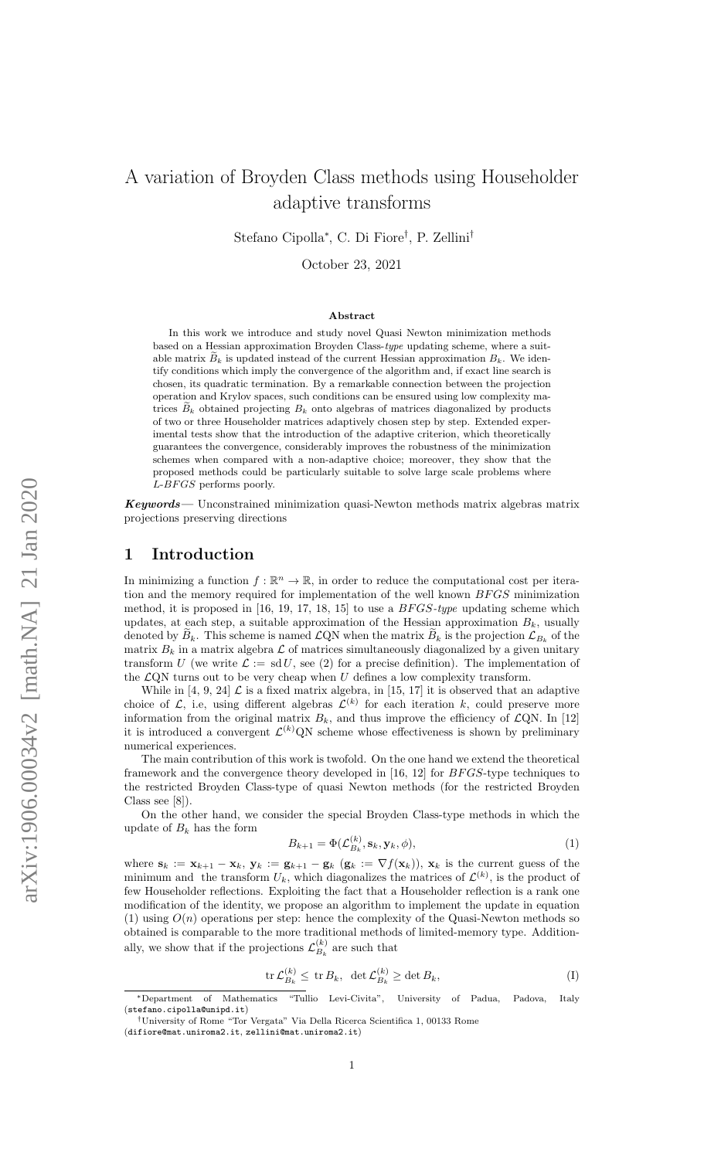# A variation of Broyden Class methods using Householder adaptive transforms

Stefano Cipolla<sup>∗</sup> , C. Di Fiore† , P. Zellini†

October 23, 2021

#### Abstract

In this work we introduce and study novel Quasi Newton minimization methods based on a Hessian approximation Broyden Class-type updating scheme, where a suitable matrix  $\widetilde{B}_k$  is updated instead of the current Hessian approximation  $B_k$ . We identify conditions which imply the convergence of the algorithm and, if exact line search is chosen, its quadratic termination. By a remarkable connection between the projection operation and Krylov spaces, such conditions can be ensured using low complexity matrices  $B_k$  obtained projecting  $B_k$  onto algebras of matrices diagonalized by products of two or three Householder matrices adaptively chosen step by step. Extended experimental tests show that the introduction of the adaptive criterion, which theoretically guarantees the convergence, considerably improves the robustness of the minimization schemes when compared with a non-adaptive choice; moreover, they show that the proposed methods could be particularly suitable to solve large scale problems where  $L-BFGS$  performs poorly.

Keywords— Unconstrained minimization quasi-Newton methods matrix algebras matrix projections preserving directions

### 1 Introduction

In minimizing a function  $f : \mathbb{R}^n \to \mathbb{R}$ , in order to reduce the computational cost per iteration and the memory required for implementation of the well known BFGS minimization method, it is proposed in  $[16, 19, 17, 18, 15]$  to use a  $BFGS-type$  updating scheme which updates, at each step, a suitable approximation of the Hessian approximation  $B_k$ , usually denoted by  $B_k$ . This scheme is named  $\mathcal{L}$ QN when the matrix  $B_k$  is the projection  $\mathcal{L}_{B_k}$  of the matrix  $B_k$  in a matrix algebra  $\mathcal L$  of matrices simultaneously diagonalized by a given unitary transform U (we write  $\mathcal{L} := \text{sd } U$ , see (2) for a precise definition). The implementation of the  $\mathcal{L}QN$  turns out to be very cheap when  $U$  defines a low complexity transform.

While in [4, 9, 24]  $\mathcal L$  is a fixed matrix algebra, in [15, 17] it is observed that an adaptive choice of  $\mathcal{L}$ , i.e, using different algebras  $\mathcal{L}^{(k)}$  for each iteration k, could preserve more information from the original matrix  $B_k$ , and thus improve the efficiency of  $\mathcal{L}QN$ . In [12] it is introduced a convergent  $\mathcal{L}^{(k)}(X)$  scheme whose effectiveness is shown by preliminary numerical experiences.

The main contribution of this work is twofold. On the one hand we extend the theoretical framework and the convergence theory developed in  $[16, 12]$  for  $BFGS$ -type techniques to the restricted Broyden Class-type of quasi Newton methods (for the restricted Broyden Class see [8]).

On the other hand, we consider the special Broyden Class-type methods in which the update of  $B_k$  has the form

$$
B_{k+1} = \Phi(\mathcal{L}_{B_k}^{(k)}, \mathbf{s}_k, \mathbf{y}_k, \phi),\tag{1}
$$

where  $\mathbf{s}_k := \mathbf{x}_{k+1} - \mathbf{x}_k$ ,  $\mathbf{y}_k := \mathbf{g}_{k+1} - \mathbf{g}_k$   $(\mathbf{g}_k := \nabla f(\mathbf{x}_k))$ ,  $\mathbf{x}_k$  is the current guess of the minimum and the transform  $U_k$ , which diagonalizes the matrices of  $\mathcal{L}^{(k)}$ , is the product of few Householder reflections. Exploiting the fact that a Householder reflection is a rank one modification of the identity, we propose an algorithm to implement the update in equation (1) using  $O(n)$  operations per step: hence the complexity of the Quasi-Newton methods so obtained is comparable to the more traditional methods of limited-memory type. Additionally, we show that if the projections  $\mathcal{L}_{B_{\alpha}}^{(k)}$  $B_k^{(k)}$  are such that

$$
\operatorname{tr} \mathcal{L}_{B_k}^{(k)} \le \operatorname{tr} B_k, \ \ \det \mathcal{L}_{B_k}^{(k)} \ge \operatorname{det} B_k,\tag{I}
$$

<sup>∗</sup>Department of Mathematics "Tullio Levi-Civita", University of Padua, Padova, Italy (stefano.cipolla@unipd.it)

<sup>†</sup>University of Rome "Tor Vergata" Via Della Ricerca Scientifica 1, 00133 Rome

<sup>(</sup>difiore@mat.uniroma2.it, zellini@mat.uniroma2.it)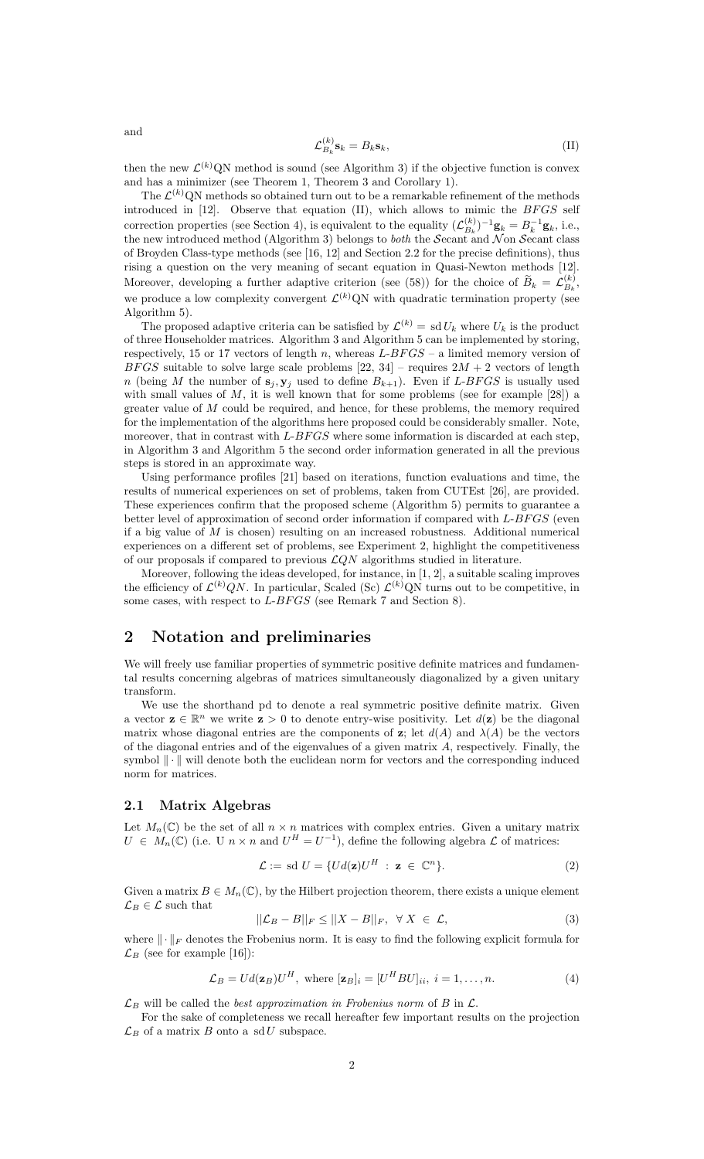$$
\mathcal{L}_{B_k}^{(k)} \mathbf{s}_k = B_k \mathbf{s}_k,\tag{II}
$$

then the new  $\mathcal{L}^{(k)}(N)$  method is sound (see Algorithm 3) if the objective function is convex and has a minimizer (see Theorem 1, Theorem 3 and Corollary 1).

The  $\mathcal{L}^{(k)}$ QN methods so obtained turn out to be a remarkable refinement of the methods introduced in  $[12]$ . Observe that equation  $(II)$ , which allows to mimic the  $BFGS$  self correction properties (see Section 4), is equivalent to the equality  $(\mathcal{L}_{B_i}^{(k)})$  $B_k^{(k)}$ )<sup>-1</sup>**g**<sub>k</sub> =  $B_k^{-1}$ **g**<sub>k</sub>, i.e., the new introduced method (Algorithm 3) belongs to *both* the Secant and N on Secant class of Broyden Class-type methods (see [16, 12] and Section 2.2 for the precise definitions), thus rising a question on the very meaning of secant equation in Quasi-Newton methods [12]. Moreover, developing a further adaptive criterion (see (58)) for the choice of  $\widetilde{B}_k = \mathcal{L}_{B_k}^{(k)}$  $B_k^{(k)}$ we produce a low complexity convergent  $\mathcal{L}^{(k)}$ QN with quadratic termination property (see Algorithm 5).

The proposed adaptive criteria can be satisfied by  $\mathcal{L}^{(k)} = \text{sd} U_k$  where  $U_k$  is the product of three Householder matrices. Algorithm 3 and Algorithm 5 can be implemented by storing, respectively, 15 or 17 vectors of length n, whereas  $L-BFGS - a$  limited memory version of BFGS suitable to solve large scale problems [22, 34] – requires  $2M + 2$  vectors of length n (being M the number of  $s_j, y_j$  used to define  $B_{k+1}$ ). Even if L-BFGS is usually used with small values of  $M$ , it is well known that for some problems (see for example [28]) a greater value of  $M$  could be required, and hence, for these problems, the memory required for the implementation of the algorithms here proposed could be considerably smaller. Note, moreover, that in contrast with  $L-BFGS$  where some information is discarded at each step, in Algorithm 3 and Algorithm 5 the second order information generated in all the previous steps is stored in an approximate way.

Using performance profiles [21] based on iterations, function evaluations and time, the results of numerical experiences on set of problems, taken from CUTEst [26], are provided. These experiences confirm that the proposed scheme (Algorithm 5) permits to guarantee a better level of approximation of second order information if compared with  $L-BFGS$  (even if a big value of M is chosen) resulting on an increased robustness. Additional numerical experiences on a different set of problems, see Experiment 2, highlight the competitiveness of our proposals if compared to previous  $\mathcal{L}QN$  algorithms studied in literature.

Moreover, following the ideas developed, for instance, in  $[1, 2]$ , a suitable scaling improves the efficiency of  $\mathcal{L}^{(k)}(N)$ . In particular, Scaled (Sc)  $\mathcal{L}^{(k)}(N)$  turns out to be competitive, in some cases, with respect to  $L-BFGS$  (see Remark 7 and Section 8).

## 2 Notation and preliminaries

We will freely use familiar properties of symmetric positive definite matrices and fundamental results concerning algebras of matrices simultaneously diagonalized by a given unitary transform.

We use the shorthand pd to denote a real symmetric positive definite matrix. Given a vector  $\mathbf{z} \in \mathbb{R}^n$  we write  $\mathbf{z} > 0$  to denote entry-wise positivity. Let  $d(\mathbf{z})$  be the diagonal matrix whose diagonal entries are the components of z; let  $d(A)$  and  $\lambda(A)$  be the vectors of the diagonal entries and of the eigenvalues of a given matrix A, respectively. Finally, the symbol  $\|\cdot\|$  will denote both the euclidean norm for vectors and the corresponding induced norm for matrices.

#### 2.1 Matrix Algebras

Let  $M_n(\mathbb{C})$  be the set of all  $n \times n$  matrices with complex entries. Given a unitary matrix  $U \in M_n(\mathbb{C})$  (i.e. U  $n \times n$  and  $U^H = U^{-1}$ ), define the following algebra  $\mathcal L$  of matrices:

$$
\mathcal{L} := \text{sd } U = \{ Ud(\mathbf{z})U^H : \mathbf{z} \in \mathbb{C}^n \}. \tag{2}
$$

Given a matrix  $B \in M_n(\mathbb{C})$ , by the Hilbert projection theorem, there exists a unique element  $\mathcal{L}_B \in \mathcal{L}$  such that

$$
||\mathcal{L}_B - B||_F \le ||X - B||_F, \quad \forall \ X \in \mathcal{L}, \tag{3}
$$

where  $\|\cdot\|_F$  denotes the Frobenius norm. It is easy to find the following explicit formula for  $\mathcal{L}_B$  (see for example [16]):

$$
\mathcal{L}_B = Ud(\mathbf{z}_B)U^H, \text{ where } [\mathbf{z}_B]_i = [U^H B U]_{ii}, i = 1, \dots, n. \tag{4}
$$

 $\mathcal{L}_B$  will be called the *best approximation in Frobenius norm* of B in  $\mathcal{L}$ .

For the sake of completeness we recall hereafter few important results on the projection  $\mathcal{L}_B$  of a matrix B onto a sdU subspace.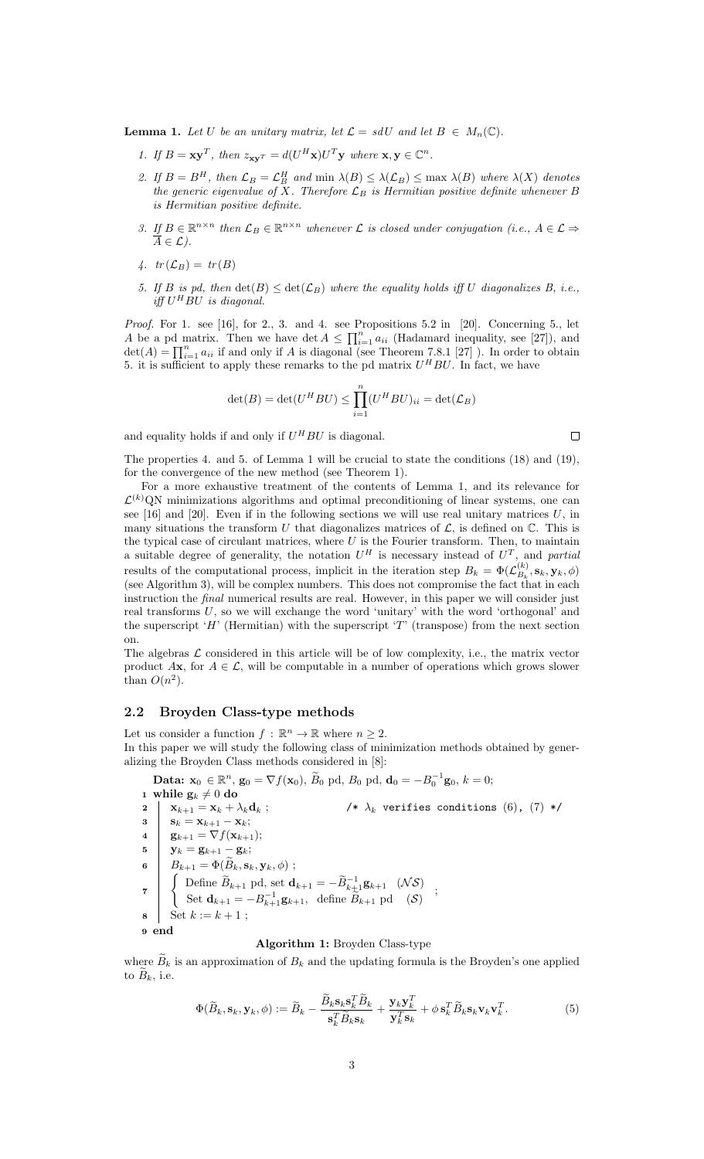**Lemma 1.** Let U be an unitary matrix, let  $\mathcal{L} = sdU$  and let  $B \in M_n(\mathbb{C})$ .

- 1. If  $B = \mathbf{x} \mathbf{y}^T$ , then  $z_{\mathbf{x} \mathbf{y}^T} = d(U^H \mathbf{x}) U^T \mathbf{y}$  where  $\mathbf{x}, \mathbf{y} \in \mathbb{C}^n$ .
- 2. If  $B = B^H$ , then  $\mathcal{L}_B = \mathcal{L}_B^H$  and  $\min \lambda(B) \leq \lambda(\mathcal{L}_B) \leq \max \lambda(B)$  where  $\lambda(X)$  denotes the generic eigenvalue of X. Therefore  $\mathcal{L}_B$  is Hermitian positive definite whenever B is Hermitian positive definite.
- 3. If  $B \in \mathbb{R}^{n \times n}$  then  $\mathcal{L}_B \in \mathbb{R}^{n \times n}$  whenever  $\mathcal L$  is closed under conjugation (i.e.,  $A \in \mathcal L \Rightarrow$  $\overline{A} \in \mathcal{L}$ ).
- 4.  $tr(\mathcal{L}_B) = tr(B)$
- 5. If B is pd, then  $\det(B) \leq \det(\mathcal{L}_B)$  where the equality holds iff U diagonalizes B, i.e., iff  $U^H BU$  is diagonal.

Proof. For 1. see [16], for 2., 3. and 4. see Propositions 5.2 in [20]. Concerning 5., let A be a pd matrix. Then we have det  $A \n\t\leq \prod_{i=1}^n a_{ii}$  (Hadamard inequality, see [27]), and  $\det(A) = \prod_{i=1}^n a_{ii}$  if and only if A is diagonal (see Theorem 7.8.1 [27]). In order to obtain 5. it is sufficient to apply these remarks to the pd matrix  $U^H BU$ . In fact, we have

$$
\det(B) = \det(U^H B U) \le \prod_{i=1}^n (U^H B U)_{ii} = \det(\mathcal{L}_B)
$$

and equality holds if and only if  $U^H BU$  is diagonal.

$$
\qquad \qquad \Box
$$

The properties 4. and 5. of Lemma 1 will be crucial to state the conditions (18) and (19), for the convergence of the new method (see Theorem 1).

For a more exhaustive treatment of the contents of Lemma 1, and its relevance for  $\mathcal{L}^{(k)}$ QN minimizations algorithms and optimal preconditioning of linear systems, one can see  $[16]$  and  $[20]$ . Even if in the following sections we will use real unitary matrices U, in many situations the transform U that diagonalizes matrices of  $\mathcal{L}$ , is defined on  $\mathbb{C}$ . This is the typical case of circulant matrices, where  $U$  is the Fourier transform. Then, to maintain a suitable degree of generality, the notation  $U^H$  is necessary instead of  $U^T$ , and partial results of the computational process, implicit in the iteration step  $B_k = \Phi(\mathcal{L}_{B_k}^{(k)})$  $\mathcal{B}_k^{(\kappa)},\mathbf{s}_k,\mathbf{y}_k,\phi)$ (see Algorithm 3), will be complex numbers. This does not compromise the fact that in each instruction the final numerical results are real. However, in this paper we will consider just real transforms  $U$ , so we will exchange the word 'unitary' with the word 'orthogonal' and the superscript ' $H'$  (Hermitian) with the superscript 'T' (transpose) from the next section on.

The algebras  $\mathcal L$  considered in this article will be of low complexity, i.e., the matrix vector product Ax, for  $A \in \mathcal{L}$ , will be computable in a number of operations which grows slower than  $O(n^2)$ .

### 2.2 Broyden Class-type methods

Let us consider a function  $f : \mathbb{R}^n \to \mathbb{R}$  where  $n \geq 2$ . In this paper we will study the following class of minimization methods obtained by generalizing the Broyden Class methods considered in [8]:

 $-1$ 

Data: 
$$
\mathbf{x}_0 \in \mathbb{R}^n
$$
,  $\mathbf{g}_0 = \nabla f(\mathbf{x}_0)$ ,  $\widetilde{B}_0$  pd,  $B_0$  pd,  $\mathbf{d}_0 = -B_0^{-1}\mathbf{g}_0$ ,  $k = 0$ ;  
\na while  $\mathbf{g}_k \neq 0$  do  
\n
$$
\begin{array}{ccc}\n\mathbf{x}_{k+1} = \mathbf{x}_k + \lambda_k \mathbf{d}_k ; & \mathbf{A}_k \text{ verifies conditions (6), (7) *}\n\end{array}
$$
\n
$$
\begin{array}{ccc}\n\mathbf{x}_{k+1} = \mathbf{x}_k + \lambda_k \mathbf{d}_k ; & \mathbf{A}_k \text{ verifies conditions (6), (7) *}\n\end{array}
$$
\n
$$
\begin{array}{ccc}\n\mathbf{s}_k = \mathbf{x}_{k+1} - \mathbf{x}_k; \\
\mathbf{g}_{k+1} = \nabla f(\mathbf{x}_{k+1}); \\
\mathbf{y}_k = \mathbf{g}_{k+1} - \mathbf{g}_k; \\
\mathbf{g}_{k+1} = \Phi(\widetilde{B}_k, \mathbf{s}_k, \mathbf{y}_k, \phi); \\
\mathbf{g}_{k+1} = \Phi(\widetilde{B}_k, \mathbf{s}_k, \mathbf{y}_k, \phi); \\
\mathbf{g}_{k+1} = -B_{k+1}^{-1}\mathbf{g}_{k+1}, & \text{define } B_{k+1} \text{ pd } (\mathcal{S})\\
\mathbf{s}_k = k + 1; & \text{if } k = 0, \text{ if } k = 0, \text{ if } k = 0, \text{ if } k = 0, \text{ if } k = 1, \text{ if } k = 0, \text{ if } k = 1, \text{ if } k = 0, \text{ if } k = 1, \text{ if } k = 0, \text{ if } k = 1, \text{ if } k = 0, \text{ if } k = 1, \text{ if } k = 1, \text{ if } k = 1, \text{ if } k = 1, \text{ if } k = 1, \text{ if } k = 1, \text{ if } k = 1, \text{ if } k = 1, \text{ if } k = 1, \text{ if } k = 1, \text{ if } k = 1, \text{ if } k = 1,
$$

Algorithm 1: Broyden Class-type

where  $B_k$  is an approximation of  $B_k$  and the updating formula is the Broyden's one applied to  $\widetilde{B}_k$ , i.e.

$$
\Phi(\widetilde{B}_k, \mathbf{s}_k, \mathbf{y}_k, \phi) := \widetilde{B}_k - \frac{\widetilde{B}_k \mathbf{s}_k \mathbf{s}_k^T \widetilde{B}_k}{\mathbf{s}_k^T \widetilde{B}_k \mathbf{s}_k} + \frac{\mathbf{y}_k \mathbf{y}_k^T}{\mathbf{y}_k^T \mathbf{s}_k} + \phi \mathbf{s}_k^T \widetilde{B}_k \mathbf{s}_k \mathbf{v}_k \mathbf{v}_k^T.
$$
\n(5)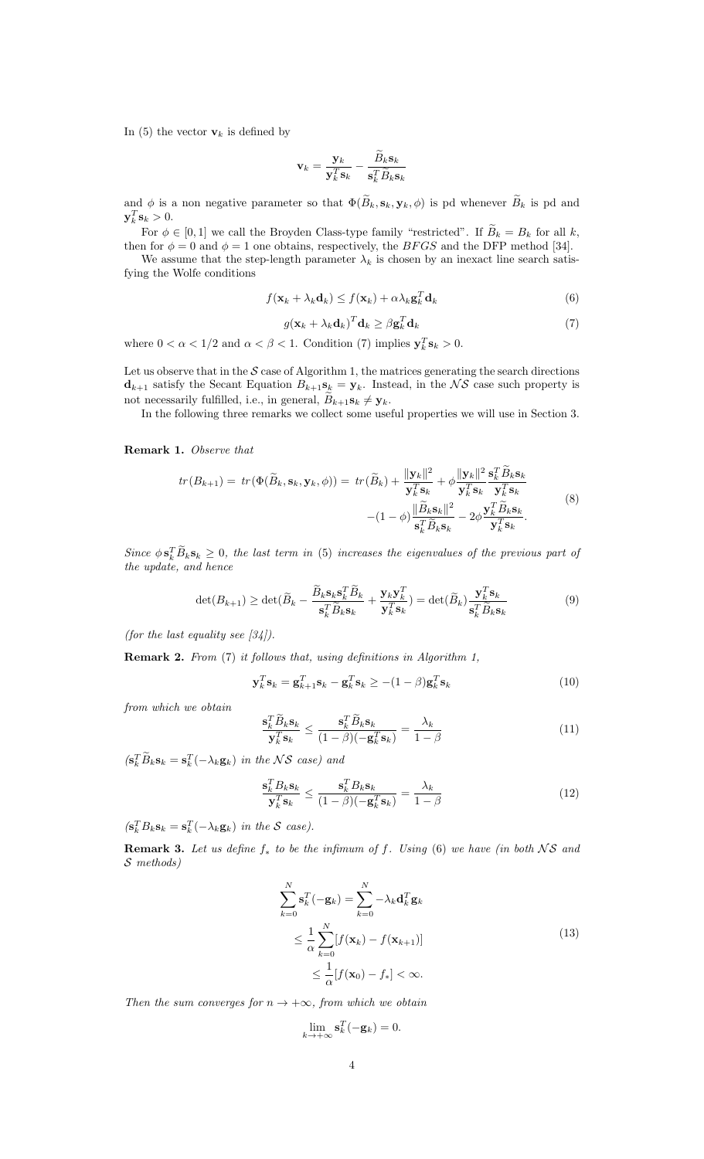In (5) the vector  $\mathbf{v}_k$  is defined by

$$
\mathbf{v}_k = \frac{\mathbf{y}_k}{\mathbf{y}_k^T \mathbf{s}_k} - \frac{\widetilde{B}_k \mathbf{s}_k}{\mathbf{s}_k^T \widetilde{B}_k \mathbf{s}_k}
$$

and  $\phi$  is a non negative parameter so that  $\Phi(\widetilde{B}_k, \mathbf{s}_k, \mathbf{y}_k, \phi)$  is pd whenever  $\widetilde{B}_k$  is pd and  $\mathbf{y}_k^T \mathbf{s}_k > 0.$ 

For  $\phi \in [0, 1]$  we call the Broyden Class-type family "restricted". If  $B_k = B_k$  for all k, then for  $\phi = 0$  and  $\phi = 1$  one obtains, respectively, the *BFGS* and the DFP method [34].

We assume that the step-length parameter  $\lambda_k$  is chosen by an inexact line search satisfying the Wolfe conditions

$$
f(\mathbf{x}_k + \lambda_k \mathbf{d}_k) \le f(\mathbf{x}_k) + \alpha \lambda_k \mathbf{g}_k^T \mathbf{d}_k
$$
\n(6)

$$
g(\mathbf{x}_k + \lambda_k \mathbf{d}_k)^T \mathbf{d}_k \ge \beta \mathbf{g}_k^T \mathbf{d}_k \tag{7}
$$

where  $0 < \alpha < 1/2$  and  $\alpha < \beta < 1$ . Condition (7) implies  $y_k^T s_k > 0$ .

Let us observe that in the  $S$  case of Algorithm 1, the matrices generating the search directions  $\mathbf{d}_{k+1}$  satisfy the Secant Equation  $B_{k+1}\mathbf{s}_k = \mathbf{y}_k$ . Instead, in the NS case such property is not necessarily fulfilled, i.e., in general,  $B_{k+1}\mathbf{s}_{k} \neq \mathbf{y}_{k}$ .

In the following three remarks we collect some useful properties we will use in Section 3.

Remark 1. Observe that

$$
tr(B_{k+1}) = tr(\Phi(\widetilde{B}_k, \mathbf{s}_k, \mathbf{y}_k, \phi)) = tr(\widetilde{B}_k) + \frac{\|\mathbf{y}_k\|^2}{\mathbf{y}_k^T \mathbf{s}_k} + \phi \frac{\|\mathbf{y}_k\|^2}{\mathbf{y}_k^T \mathbf{s}_k} \frac{\mathbf{s}_k^T \widetilde{B}_k \mathbf{s}_k}{\mathbf{y}_k^T \mathbf{s}_k} - (1 - \phi) \frac{\|\widetilde{B}_k \mathbf{s}_k\|^2}{\mathbf{s}_k^T \widetilde{B}_k \mathbf{s}_k} - 2\phi \frac{\mathbf{y}_k^T \widetilde{B}_k \mathbf{s}_k}{\mathbf{y}_k^T \mathbf{s}_k}.
$$
\n(8)

Since  $\phi \mathbf{s}_k^T \tilde{B}_k \mathbf{s}_k \geq 0$ , the last term in (5) increases the eigenvalues of the previous part of the update, and hence

$$
\det(B_{k+1}) \ge \det(\widetilde{B}_k - \frac{\widetilde{B}_k \mathbf{s}_k \mathbf{s}_k^T \widetilde{B}_k}{\mathbf{s}_k^T \widetilde{B}_k \mathbf{s}_k} + \frac{\mathbf{y}_k \mathbf{y}_k^T}{\mathbf{y}_k^T \mathbf{s}_k}) = \det(\widetilde{B}_k) \frac{\mathbf{y}_k^T \mathbf{s}_k}{\mathbf{s}_k^T \widetilde{B}_k \mathbf{s}_k}
$$
(9)

(for the last equality see  $[34]$ ).

Remark 2. From (7) it follows that, using definitions in Algorithm 1,

$$
\mathbf{y}_k^T \mathbf{s}_k = \mathbf{g}_{k+1}^T \mathbf{s}_k - \mathbf{g}_k^T \mathbf{s}_k \ge -(1-\beta) \mathbf{g}_k^T \mathbf{s}_k \tag{10}
$$

from which we obtain

$$
\frac{\mathbf{s}_k^T \tilde{B}_k \mathbf{s}_k}{\mathbf{y}_k^T \mathbf{s}_k} \le \frac{\mathbf{s}_k^T \tilde{B}_k \mathbf{s}_k}{(1-\beta)(-\mathbf{g}_k^T \mathbf{s}_k)} = \frac{\lambda_k}{1-\beta} \tag{11}
$$

 $(\mathbf{s}_k^T \tilde{B}_k \mathbf{s}_k = \mathbf{s}_k^T(-\lambda_k \mathbf{g}_k))$  in the NS case) and

$$
\frac{\mathbf{s}_k^T B_k \mathbf{s}_k}{\mathbf{y}_k^T \mathbf{s}_k} \le \frac{\mathbf{s}_k^T B_k \mathbf{s}_k}{(1 - \beta)(-\mathbf{g}_k^T \mathbf{s}_k)} = \frac{\lambda_k}{1 - \beta} \tag{12}
$$

 $(\mathbf{s}_k^T B_k \mathbf{s}_k = \mathbf{s}_k^T(-\lambda_k \mathbf{g}_k))$  in the S case).

**Remark 3.** Let us define  $f_*$  to be the infimum of f. Using (6) we have (in both NS and S methods)

$$
\sum_{k=0}^{N} \mathbf{s}_{k}^{T}(-\mathbf{g}_{k}) = \sum_{k=0}^{N} -\lambda_{k} \mathbf{d}_{k}^{T} \mathbf{g}_{k}
$$
\n
$$
\leq \frac{1}{\alpha} \sum_{k=0}^{N} [f(\mathbf{x}_{k}) - f(\mathbf{x}_{k+1})]
$$
\n
$$
\leq \frac{1}{\alpha} [f(\mathbf{x}_{0}) - f_{*}] < \infty.
$$
\n(13)

Then the sum converges for  $n \to +\infty$ , from which we obtain

$$
\lim_{k \to +\infty} \mathbf{s}_k^T(-\mathbf{g}_k) = 0.
$$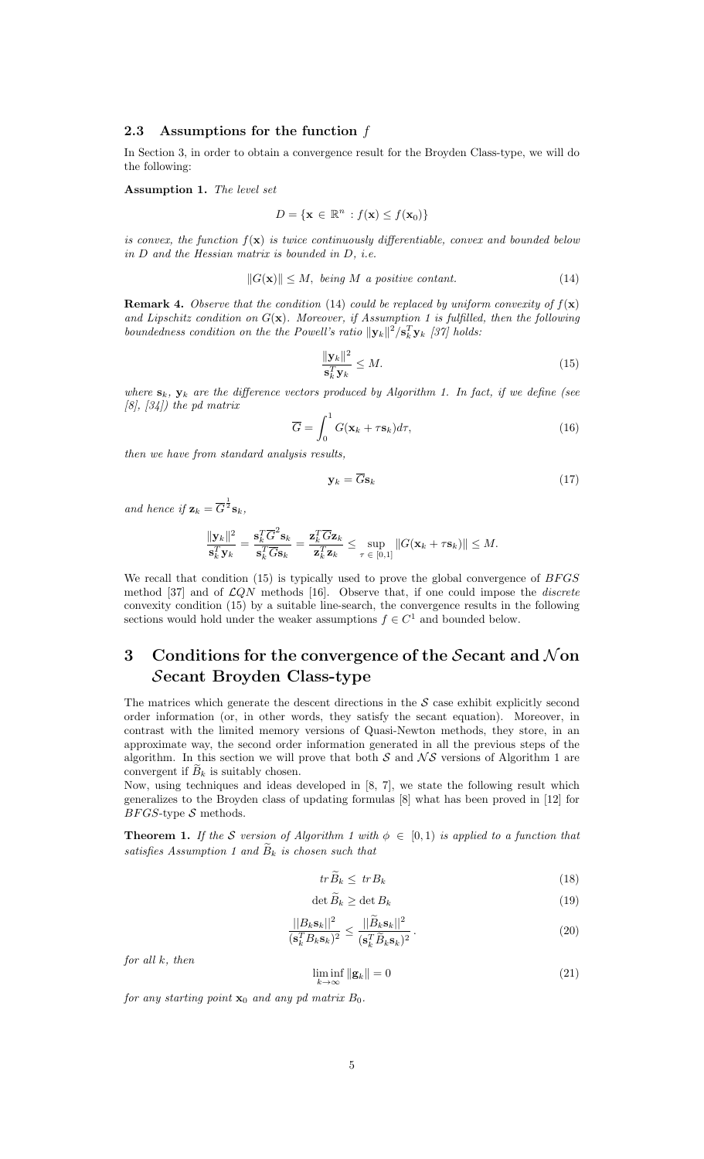### 2.3 Assumptions for the function f

In Section 3, in order to obtain a convergence result for the Broyden Class-type, we will do the following:

Assumption 1. The level set

$$
D = \{ \mathbf{x} \in \mathbb{R}^n : f(\mathbf{x}) \le f(\mathbf{x}_0) \}
$$

is convex, the function  $f(\mathbf{x})$  is twice continuously differentiable, convex and bounded below in D and the Hessian matrix is bounded in D, i.e.

$$
||G(\mathbf{x})|| \le M, \text{ being } M \text{ a positive constant.} \tag{14}
$$

**Remark 4.** Observe that the condition (14) could be replaced by uniform convexity of  $f(\mathbf{x})$ and Lipschitz condition on  $G(\mathbf{x})$ . Moreover, if Assumption 1 is fulfilled, then the following boundedness condition on the the Powell's ratio  $||\mathbf{y}_k||^2 / \mathbf{s}_k^T \mathbf{y}_k$  [37] holds:

$$
\frac{\|\mathbf{y}_k\|^2}{\mathbf{s}_k^T \mathbf{y}_k} \le M. \tag{15}
$$

where  $\mathbf{s}_k$ ,  $\mathbf{y}_k$  are the difference vectors produced by Algorithm 1. In fact, if we define (see  $[8]$ ,  $[34]$ ) the pd matrix

$$
\overline{G} = \int_0^1 G(\mathbf{x}_k + \tau \mathbf{s}_k) d\tau,
$$
\n(16)

then we have from standard analysis results,

$$
\mathbf{y}_k = \overline{G}\mathbf{s}_k \tag{17}
$$

and hence if  $\mathbf{z}_k = \overline{G}^{\frac{1}{2}} \mathbf{s}_k$ ,

$$
\frac{\|\mathbf{y}_k\|^2}{\mathbf{s}_k^T\mathbf{y}_k} = \frac{\mathbf{s}_k^T\overline{G}^2\mathbf{s}_k}{\mathbf{s}_k^T\overline{G}\mathbf{s}_k} = \frac{\mathbf{z}_k^T\overline{G}\mathbf{z}_k}{\mathbf{z}_k^T\mathbf{z}_k} \le \sup_{\tau \in [0,1]} \|G(\mathbf{x}_k + \tau\mathbf{s}_k)\| \le M.
$$

We recall that condition  $(15)$  is typically used to prove the global convergence of  $BFGS$ method [37] and of  $\mathcal{L}QN$  methods [16]. Observe that, if one could impose the *discrete* convexity condition (15) by a suitable line-search, the convergence results in the following sections would hold under the weaker assumptions  $f \in C^1$  and bounded below.

## 3 Conditions for the convergence of the Secant and  $\mathcal N$  on Secant Broyden Class-type

The matrices which generate the descent directions in the  $S$  case exhibit explicitly second order information (or, in other words, they satisfy the secant equation). Moreover, in contrast with the limited memory versions of Quasi-Newton methods, they store, in an approximate way, the second order information generated in all the previous steps of the algorithm. In this section we will prove that both  $S$  and  $\mathcal{NS}$  versions of Algorithm 1 are convergent if  $B_k$  is suitably chosen.

Now, using techniques and ideas developed in [8, 7], we state the following result which generalizes to the Broyden class of updating formulas [8] what has been proved in [12] for  $BFGS$ -type  $S$  methods.

**Theorem 1.** If the S version of Algorithm 1 with  $\phi \in [0,1)$  is applied to a function that satisfies Assumption 1 and  $\tilde{B}_k$  is chosen such that

$$
tr\widetilde{B}_k \le trB_k \tag{18}
$$

$$
\det \widetilde{B}_k \ge \det B_k \tag{19}
$$

$$
\frac{||B_k \mathbf{s}_k||^2}{(\mathbf{s}_k^T B_k \mathbf{s}_k)^2} \le \frac{||\widetilde{B}_k \mathbf{s}_k||^2}{(\mathbf{s}_k^T \widetilde{B}_k \mathbf{s}_k)^2}.
$$
\n(20)

for all k, then

$$
\liminf_{k \to \infty} \| \mathbf{g}_k \| = 0 \tag{21}
$$

for any starting point  $\mathbf{x}_0$  and any pd matrix  $B_0$ .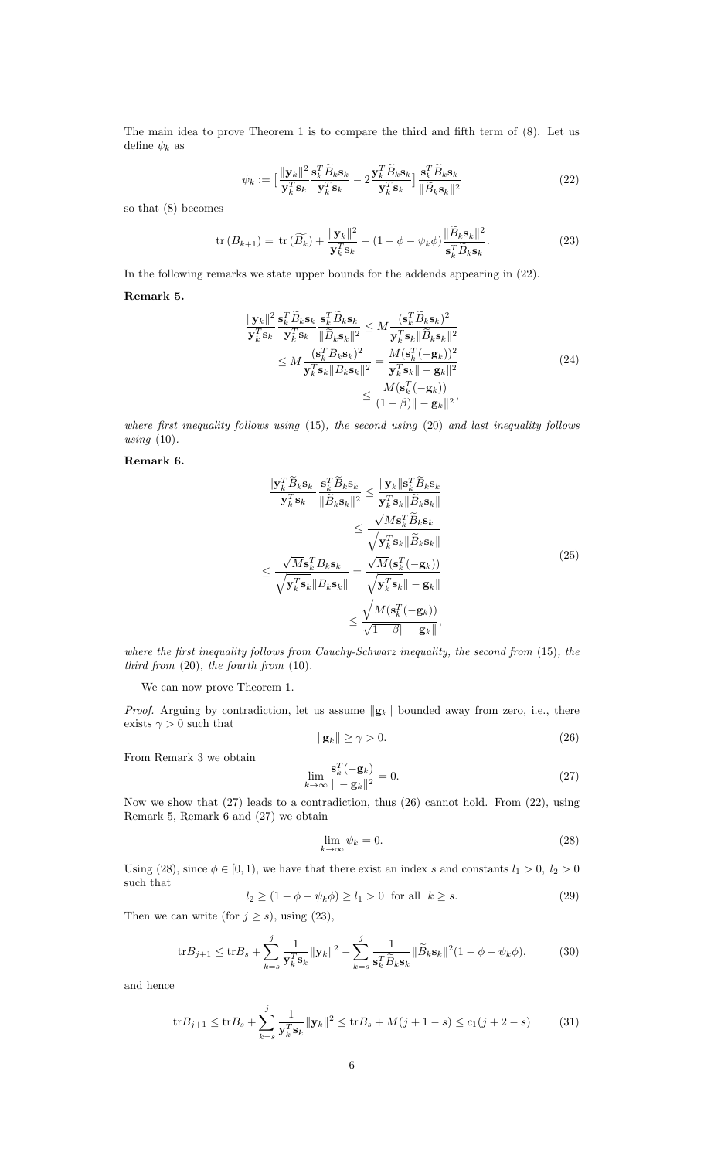The main idea to prove Theorem 1 is to compare the third and fifth term of (8). Let us define  $\psi_k$  as

$$
\psi_k := \left[\frac{\|\mathbf{y}_k\|^2}{\mathbf{y}_k^T \mathbf{s}_k} \frac{\mathbf{s}_k^T \widetilde{B}_k \mathbf{s}_k}{\mathbf{y}_k^T \mathbf{s}_k} - 2 \frac{\mathbf{y}_k^T \widetilde{B}_k \mathbf{s}_k}{\mathbf{y}_k^T \mathbf{s}_k}\right] \frac{\mathbf{s}_k^T \widetilde{B}_k \mathbf{s}_k}{\|\widetilde{B}_k \mathbf{s}_k\|^2}
$$
(22)

so that (8) becomes

$$
\operatorname{tr}\left(B_{k+1}\right) = \operatorname{tr}\left(\widetilde{B_k}\right) + \frac{\|\mathbf{y}_k\|^2}{\mathbf{y}_k^T \mathbf{s}_k} - \left(1 - \phi - \psi_k \phi\right) \frac{\|\widetilde{B}_k \mathbf{s}_k\|^2}{\mathbf{s}_k^T \widetilde{B}_k \mathbf{s}_k}.\tag{23}
$$

In the following remarks we state upper bounds for the addends appearing in (22).

### Remark 5.

$$
\frac{\|\mathbf{y}_k\|^2}{\mathbf{y}_k^T \mathbf{s}_k} \frac{\mathbf{s}_k^T \widetilde{B}_k \mathbf{s}_k}{\mathbf{y}_k^T \mathbf{s}_k} \frac{\mathbf{s}_k^T \widetilde{B}_k \mathbf{s}_k}{\|\widetilde{B}_k \mathbf{s}_k\|^2} \le M \frac{(\mathbf{s}_k^T \widetilde{B}_k \mathbf{s}_k)^2}{\mathbf{y}_k^T \mathbf{s}_k \|\widetilde{B}_k \mathbf{s}_k\|^2} \n\le M \frac{(\mathbf{s}_k^T B_k \mathbf{s}_k)^2}{\mathbf{y}_k^T \mathbf{s}_k \|\widetilde{B}_k \mathbf{s}_k\|^2} = \frac{M(\mathbf{s}_k^T(-\mathbf{g}_k))^2}{\mathbf{y}_k^T \mathbf{s}_k \|\mathbf{s}_k\|^2}
$$
\n
$$
\le \frac{M(\mathbf{s}_k^T(-\mathbf{g}_k))}{(1-\beta)\|\mathbf{s}_k\|^2},
$$
\n(24)

where first inequality follows using (15), the second using (20) and last inequality follows using  $(10)$ .

### Remark 6.

$$
\frac{|\mathbf{y}_{k}^{T}\tilde{B}_{k}\mathbf{s}_{k}|}{|\mathbf{y}_{k}^{T}\mathbf{s}_{k}}\frac{\mathbf{s}_{k}^{T}\tilde{B}_{k}\mathbf{s}_{k}}{\|\tilde{B}_{k}\mathbf{s}_{k}\|^{2}} \leq \frac{\|\mathbf{y}_{k}\|\mathbf{s}_{k}^{T}\tilde{B}_{k}\mathbf{s}_{k}}{\mathbf{y}_{k}^{T}\mathbf{s}_{k}\|\tilde{B}_{k}\mathbf{s}_{k}\|} \leq \frac{\sqrt{M}\mathbf{s}_{k}^{T}\tilde{B}_{k}\mathbf{s}_{k}}{\sqrt{\mathbf{y}_{k}^{T}\mathbf{s}_{k}\|\tilde{B}_{k}\mathbf{s}_{k}\|}} \leq \frac{\sqrt{M}\mathbf{s}_{k}^{T}\tilde{B}_{k}\mathbf{s}_{k}}{\sqrt{\mathbf{y}_{k}^{T}\mathbf{s}_{k}\|\tilde{B}_{k}\mathbf{s}_{k}\|}} = \frac{\sqrt{M}(\mathbf{s}_{k}^{T}(-\mathbf{g}_{k}))}{\sqrt{\mathbf{y}_{k}^{T}\mathbf{s}_{k}\|- \mathbf{g}_{k}\|}} \leq \frac{\sqrt{M}(\mathbf{s}_{k}^{T}(-\mathbf{g}_{k}))}{\sqrt{\mathbf{y}_{k}^{T}\mathbf{s}_{k}\|- \mathbf{g}_{k}\|}} \leq \frac{\sqrt{M}(\mathbf{s}_{k}^{T}(-\mathbf{g}_{k}))}{\sqrt{1-\beta\|- \mathbf{g}_{k}\|}},
$$
\n(25)

where the first inequality follows from Cauchy-Schwarz inequality, the second from (15), the third from  $(20)$ , the fourth from  $(10)$ .

We can now prove Theorem 1.

*Proof.* Arguing by contradiction, let us assume  $\|\mathbf{g}_k\|$  bounded away from zero, i.e., there exists  $\gamma > 0$  such that

$$
\|\mathbf{g}_k\| \ge \gamma > 0. \tag{26}
$$

From Remark 3 we obtain

$$
\lim_{k \to \infty} \frac{\mathbf{s}_k^T(-\mathbf{g}_k)}{\|- \mathbf{g}_k \|^2} = 0.
$$
\n(27)

Now we show that (27) leads to a contradiction, thus (26) cannot hold. From (22), using Remark 5, Remark 6 and (27) we obtain

$$
\lim_{k \to \infty} \psi_k = 0. \tag{28}
$$

Using (28), since  $\phi \in [0, 1)$ , we have that there exist an index s and constants  $l_1 > 0$ ,  $l_2 > 0$ such that

$$
l_2 \ge (1 - \phi - \psi_k \phi) \ge l_1 > 0 \quad \text{for all} \quad k \ge s. \tag{29}
$$

Then we can write (for  $j \geq s$ ), using (23),

$$
\text{tr}B_{j+1} \le \text{tr}B_s + \sum_{k=s}^j \frac{1}{\mathbf{y}_k^T \mathbf{s}_k} \|\mathbf{y}_k\|^2 - \sum_{k=s}^j \frac{1}{\mathbf{s}_k^T \widetilde{B}_k \mathbf{s}_k} \|\widetilde{B}_k \mathbf{s}_k\|^2 (1 - \phi - \psi_k \phi),\tag{30}
$$

and hence

$$
\text{tr}B_{j+1} \le \text{tr}B_s + \sum_{k=s}^j \frac{1}{\mathbf{y}_k^T \mathbf{s}_k} \|\mathbf{y}_k\|^2 \le \text{tr}B_s + M(j+1-s) \le c_1(j+2-s) \tag{31}
$$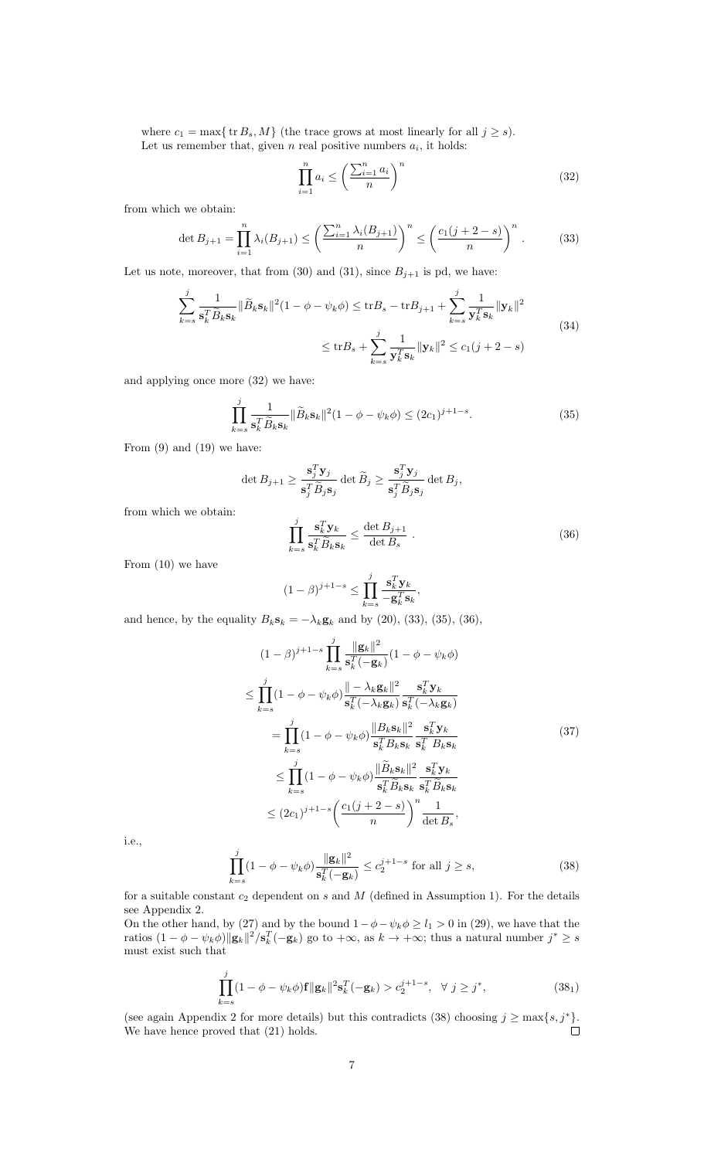where  $c_1 = \max\{ \text{ tr } B_s, M \}$  (the trace grows at most linearly for all  $j \geq s$ ). Let us remember that, given  $n$  real positive numbers  $a_i$ , it holds:

$$
\prod_{i=1}^{n} a_i \le \left(\frac{\sum_{i=1}^{n} a_i}{n}\right)^n \tag{32}
$$

from which we obtain:

$$
\det B_{j+1} = \prod_{i=1}^n \lambda_i(B_{j+1}) \le \left(\frac{\sum_{i=1}^n \lambda_i(B_{j+1})}{n}\right)^n \le \left(\frac{c_1(j+2-s)}{n}\right)^n. \tag{33}
$$

Let us note, moreover, that from (30) and (31), since  $B_{j+1}$  is pd, we have:

$$
\sum_{k=s}^{j} \frac{1}{\mathbf{s}_{k}^{T} \widetilde{B}_{k} \mathbf{s}_{k}} \|\widetilde{B}_{k} \mathbf{s}_{k}\|^{2} (1 - \phi - \psi_{k} \phi) \leq \text{tr} B_{s} - \text{tr} B_{j+1} + \sum_{k=s}^{j} \frac{1}{\mathbf{y}_{k}^{T} \mathbf{s}_{k}} \|\mathbf{y}_{k}\|^{2}
$$
\n
$$
\leq \text{tr} B_{s} + \sum_{k=s}^{j} \frac{1}{\mathbf{y}_{k}^{T} \mathbf{s}_{k}} \|\mathbf{y}_{k}\|^{2} \leq c_{1} (j+2-s)
$$
\n(34)

and applying once more (32) we have:

$$
\prod_{k=s}^{j} \frac{1}{\mathbf{s}_{k}^{T} \widetilde{B}_{k} \mathbf{s}_{k}} \|\widetilde{B}_{k} \mathbf{s}_{k}\|^{2} (1 - \phi - \psi_{k} \phi) \leq (2c_{1})^{j+1-s}.
$$
\n(35)

From (9) and (19) we have:

$$
\det B_{j+1} \ge \frac{\mathbf{s}_j^T \mathbf{y}_j}{\mathbf{s}_j^T \widetilde{B}_j \mathbf{s}_j} \det \widetilde{B}_j \ge \frac{\mathbf{s}_j^T \mathbf{y}_j}{\mathbf{s}_j^T \widetilde{B}_j \mathbf{s}_j} \det B_j,
$$

$$
\prod_{k=s}^j \frac{\mathbf{s}_k^T \mathbf{y}_k}{\mathbf{s}_k^T \widetilde{B}_k \mathbf{s}_k} \le \frac{\det B_{j+1}}{\det B_s}.
$$
(36)

From (10) we have

from which we obtain:

$$
(1 - \beta)^{j+1-s} \le \prod_{k=s}^j \frac{\mathbf{s}_k^T \mathbf{y}_k}{-\mathbf{g}_k^T \mathbf{s}_k},
$$

and hence, by the equality  $B_k \mathbf{s}_k = -\lambda_k \mathbf{g}_k$  and by (20), (33), (35), (36),

$$
(1 - \beta)^{j+1-s} \prod_{k=s}^{j} \frac{\|\mathbf{g}_k\|^2}{\mathbf{s}_k^T(-\mathbf{g}_k)} (1 - \phi - \psi_k \phi)
$$
  
\n
$$
\leq \prod_{k=s}^{j} (1 - \phi - \psi_k \phi) \frac{\| - \lambda_k \mathbf{g}_k \|^2}{\mathbf{s}_k^T(-\lambda_k \mathbf{g}_k)} \frac{\mathbf{s}_k^T \mathbf{y}_k}{\mathbf{s}_k^T(-\lambda_k \mathbf{g}_k)}
$$
  
\n
$$
= \prod_{k=s}^{j} (1 - \phi - \psi_k \phi) \frac{\|B_k \mathbf{s}_k\|^2}{\mathbf{s}_k^T B_k \mathbf{s}_k} \frac{\mathbf{s}_k^T \mathbf{y}_k}{\mathbf{s}_k^T B_k \mathbf{s}_k}
$$
  
\n
$$
\leq \prod_{k=s}^{j} (1 - \phi - \psi_k \phi) \frac{\|\widetilde{B}_k \mathbf{s}_k\|^2}{\mathbf{s}_k^T \widetilde{B}_k \mathbf{s}_k} \frac{\mathbf{s}_k^T \mathbf{y}_k}{\mathbf{s}_k^T \widetilde{B}_k \mathbf{s}_k}
$$
  
\n
$$
\leq (2c_1)^{j+1-s} \left(\frac{c_1(j+2-s)}{n}\right)^n \frac{1}{\det B_s},
$$
\n(37)

i.e.,

$$
\prod_{k=s}^{j} (1 - \phi - \psi_k \phi) \frac{\|\mathbf{g}_k\|^2}{\mathbf{s}_k^T(-\mathbf{g}_k)} \le c_2^{j+1-s} \text{ for all } j \ge s,
$$
\n(38)

for a suitable constant  $c_2$  dependent on  $s$  and  $M$  (defined in Assumption 1). For the details see Appendix 2.

On the other hand, by (27) and by the bound  $1-\phi-\psi_k\phi \ge l_1 > 0$  in (29), we have that the ratios  $(1 - \phi - \psi_k \phi) ||\mathbf{g}_k||^2 / \mathbf{s}_k^T(-\mathbf{g}_k)$  go to  $+\infty$ , as  $k \to +\infty$ ; thus a natural number  $j^* \geq s$ must exist such that

$$
\prod_{k=s}^{j} (1 - \phi - \psi_k \phi) \mathbf{f} \| \mathbf{g}_k \|^2 \mathbf{s}_k^T(-\mathbf{g}_k) > c_2^{j+1-s}, \ \ \forall \ j \ge j^*, \tag{381}
$$

(see again Appendix 2 for more details) but this contradicts (38) choosing  $j \ge \max\{s, j^*\}.$ We have hence proved that (21) holds.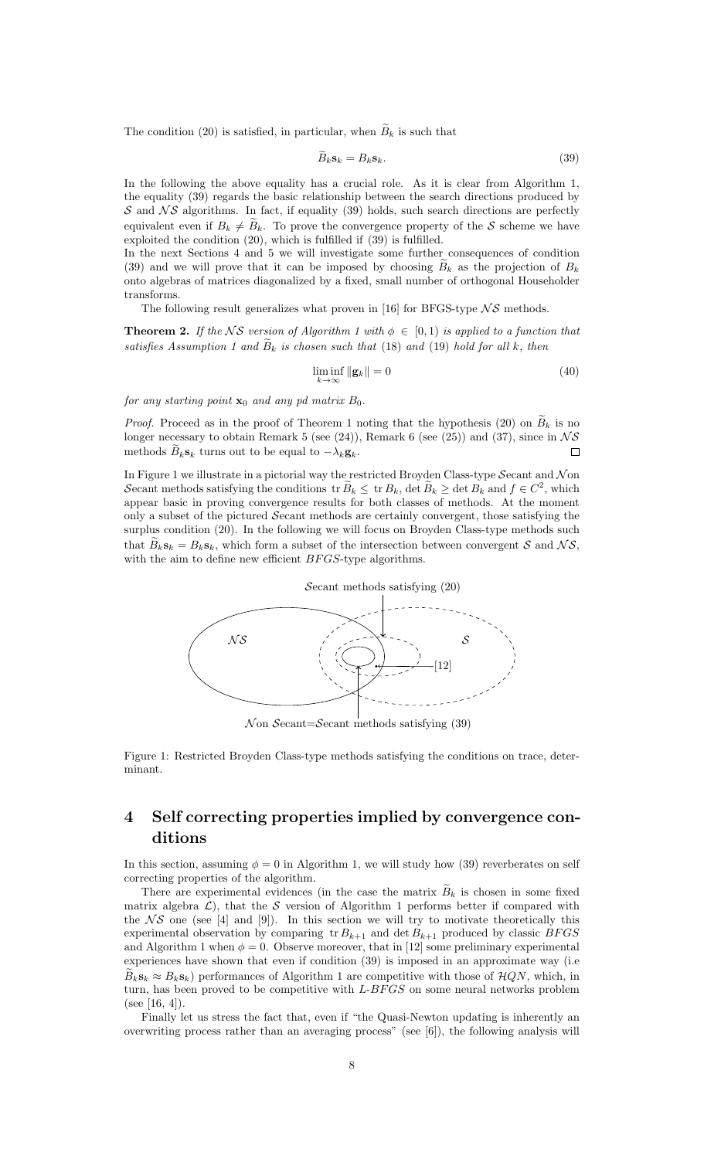The condition (20) is satisfied, in particular, when  $\widetilde{B}_k$  is such that

$$
B_k \mathbf{s}_k = B_k \mathbf{s}_k. \tag{39}
$$

In the following the above equality has a crucial role. As it is clear from Algorithm 1, the equality (39) regards the basic relationship between the search directions produced by  $S$  and  $\mathcal{N}S$  algorithms. In fact, if equality (39) holds, such search directions are perfectly equivalent even if  $B_k \neq \tilde{B}_k$ . To prove the convergence property of the S scheme we have exploited the condition (20), which is fulfilled if (39) is fulfilled.

In the next Sections 4 and 5 we will investigate some further consequences of condition (39) and we will prove that it can be imposed by choosing  $B_k$  as the projection of  $B_k$ onto algebras of matrices diagonalized by a fixed, small number of orthogonal Householder transforms.

The following result generalizes what proven in [16] for BFGS-type  $\mathcal{NS}$  methods.

**Theorem 2.** If the NS version of Algorithm 1 with  $\phi \in [0,1)$  is applied to a function that satisfies Assumption 1 and  $B_k$  is chosen such that (18) and (19) hold for all k, then

$$
\liminf_{k \to \infty} \|\mathbf{g}_k\| = 0 \tag{40}
$$

for any starting point  $\mathbf{x}_0$  and any pd matrix  $B_0$ .

*Proof.* Proceed as in the proof of Theorem 1 noting that the hypothesis (20) on  $\widetilde{B}_k$  is no longer necessary to obtain Remark 5 (see (24)), Remark 6 (see (25)) and (37), since in  $\mathcal{NS}$ methods  $B_k$ **s**<sub>k</sub> turns out to be equal to  $-\lambda_k$ **g**<sub>k</sub>.

In Figure 1 we illustrate in a pictorial way the restricted Broyden Class-type Secant and  $\mathcal N$ on Secant methods satisfying the conditions  $\text{tr } \tilde{B}_k \leq \text{tr } B_k$ , det  $\tilde{B}_k \geq \text{det } B_k$  and  $f \in C^2$ , which appear basic in proving convergence results for both classes of methods. At the moment only a subset of the pictured Secant methods are certainly convergent, those satisfying the surplus condition (20). In the following we will focus on Broyden Class-type methods such that  $\widetilde{B}_k$ **s**<sub>k</sub> =  $B_k$ **s**<sub>k</sub>, which form a subset of the intersection between convergent S and NS, with the aim to define new efficient  $BFGS$ -type algorithms.



 $\mathcal N$  on Secant=Secant methods satisfying (39)

Figure 1: Restricted Broyden Class-type methods satisfying the conditions on trace, determinant.

## 4 Self correcting properties implied by convergence conditions

In this section, assuming  $\phi = 0$  in Algorithm 1, we will study how (39) reverberates on self correcting properties of the algorithm.

There are experimental evidences (in the case the matrix  $B_k$  is chosen in some fixed matrix algebra  $\mathcal{L}$ ), that the S version of Algorithm 1 performs better if compared with the  $\mathcal{N} \mathcal{S}$  one (see [4] and [9]). In this section we will try to motivate theoretically this experimental observation by comparing tr  $B_{k+1}$  and det  $B_{k+1}$  produced by classic BFGS and Algorithm 1 when  $\phi = 0$ . Observe moreover, that in [12] some preliminary experimental experiences have shown that even if condition (39) is imposed in an approximate way (i.e  $B_k s_k \approx B_k s_k$ ) performances of Algorithm 1 are competitive with those of  $HQN$ , which, in turn, has been proved to be competitive with  $L-BFGS$  on some neural networks problem (see [16, 4]).

Finally let us stress the fact that, even if "the Quasi-Newton updating is inherently an overwriting process rather than an averaging process" (see [6]), the following analysis will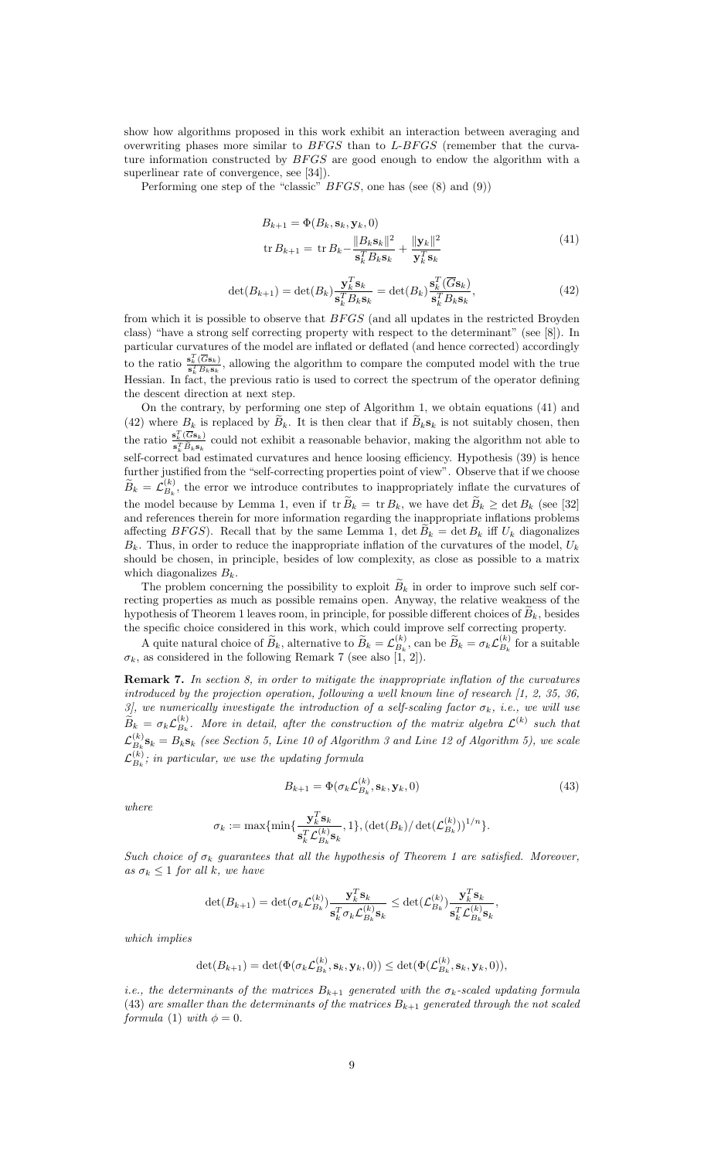show how algorithms proposed in this work exhibit an interaction between averaging and overwriting phases more similar to  $BFGS$  than to  $L-BFGS$  (remember that the curvature information constructed by  $BFGS$  are good enough to endow the algorithm with a superlinear rate of convergence, see [34]).

Performing one step of the "classic" BFGS, one has (see (8) and (9))

$$
B_{k+1} = \Phi(B_k, \mathbf{s}_k, \mathbf{y}_k, 0)
$$
  
tr 
$$
B_{k+1} = \text{tr } B_k - \frac{\|B_k \mathbf{s}_k\|^2}{\mathbf{s}_k^T B_k \mathbf{s}_k} + \frac{\|\mathbf{y}_k\|^2}{\mathbf{y}_k^T \mathbf{s}_k}
$$
 (41)

$$
\det(B_{k+1}) = \det(B_k) \frac{\mathbf{y}_k^T \mathbf{s}_k}{\mathbf{s}_k^T B_k \mathbf{s}_k} = \det(B_k) \frac{\mathbf{s}_k^T (\overline{G} \mathbf{s}_k)}{\mathbf{s}_k^T B_k \mathbf{s}_k},\tag{42}
$$

from which it is possible to observe that  $BFGS$  (and all updates in the restricted Broyden class) "have a strong self correcting property with respect to the determinant" (see [8]). In particular curvatures of the model are inflated or deflated (and hence corrected) accordingly to the ratio  $\frac{\mathbf{s}_k^T(\overline{G}\mathbf{s}_k)}{e^T B_k \mathbf{s}_k}$  $\frac{\mathbf{S}_k(\mathbf{G}\mathbf{S}_k)}{\mathbf{S}_k^T B_k \mathbf{S}_k}$ , allowing the algorithm to compare the computed model with the true Hessian. In fact, the previous ratio is used to correct the spectrum of the operator defining the descent direction at next step.

On the contrary, by performing one step of Algorithm 1, we obtain equations (41) and (42) where  $B_k$  is replaced by  $B_k$ . It is then clear that if  $B_k s_k$  is not suitably chosen, then the ratio  $\frac{\mathbf{s}_k^T(\overline{G}\mathbf{s}_k)}{s_k^T\widetilde{P}_k}$  $\frac{\mathbf{s}_k(\mathbf{G}\mathbf{s}_k)}{\mathbf{s}_k^T \widetilde{B}_k \mathbf{s}_k}$  could not exhibit a reasonable behavior, making the algorithm not able to self-correct bad estimated curvatures and hence loosing efficiency. Hypothesis (39) is hence further justified from the "self-correcting properties point of view". Observe that if we choose  $\widetilde{B}_k = \mathcal{L}_{B_k}^{(k)}$  $B_k^{(k)}$ , the error we introduce contributes to inappropriately inflate the curvatures of the model because by Lemma 1, even if  $tr \widetilde{B}_k = tr B_k$ , we have det  $\widetilde{B}_k \ge det B_k$  (see [32] and references therein for more information regarding the inappropriate inflations problems affecting BFGS). Recall that by the same Lemma 1,  $\det B_k = \det B_k$  iff  $U_k$  diagonalizes  $B_k$ . Thus, in order to reduce the inappropriate inflation of the curvatures of the model,  $U_k$ should be chosen, in principle, besides of low complexity, as close as possible to a matrix which diagonalizes  $B_k$ .

The problem concerning the possibility to exploit  $B_k$  in order to improve such self correcting properties as much as possible remains open. Anyway, the relative weakness of the hypothesis of Theorem 1 leaves room, in principle, for possible different choices of  $B_k$ , besides the specific choice considered in this work, which could improve self correcting property.

A quite natural choice of  $\widetilde{B}_k$ , alternative to  $\widetilde{B}_k = \mathcal{L}_{B_k}^{(k)}$  $\widetilde{B}_k^{(k)}$ , can be  $\widetilde{B}_k = \sigma_k \mathcal{L}_{B_k}^{(k)}$  $B_k^{(k)}$  for a suitable  $\sigma_k$ , as considered in the following Remark 7 (see also [1, 2]).

**Remark 7.** In section  $S$ , in order to mitigate the inappropriate inflation of the curvatures introduced by the projection operation, following a well known line of research  $\left[1, 2, 35, 36\right]$ 3], we numerically investigate the introduction of a self-scaling factor  $\sigma_k$ , i.e., we will use  $\widetilde{B}_k = \sigma_k \mathcal{L}_{B_k}^{(k)}$  $B_k^{(k)}$ . More in detail, after the construction of the matrix algebra  $\mathcal{L}^{(k)}$  such that  ${\cal L}_B^{(k)}$  $B_k^{(k)}$ **S**<sub>k</sub> =  $B_k$ **S**<sub>k</sub> (see Section 5, Line 10 of Algorithm 3 and Line 12 of Algorithm 5), we scale  ${\cal L}_{B}^{(k)}$  $B_k^{(k)}$ ; in particular, we use the updating formula

$$
B_{k+1} = \Phi(\sigma_k \mathcal{L}_{B_k}^{(k)}, \mathbf{s}_k, \mathbf{y}_k, 0) \tag{43}
$$

where

$$
\sigma_k := \max\{\min\{\frac{\mathbf{y}_k^T\mathbf{s}_k}{\mathbf{s}_k^T\mathcal{L}_{B_k}^{(k)}\mathbf{s}_k}, 1\}, (\det(B_k)/\det(\mathcal{L}_{B_k}^{(k)}))^{1/n}\}.
$$

Such choice of  $\sigma_k$  guarantees that all the hypothesis of Theorem 1 are satisfied. Moreover, as  $\sigma_k \leq 1$  for all k, we have

$$
\det(B_{k+1})=\det(\sigma_k\mathcal{L}_{B_k}^{(k)})\frac{\textbf{y}_k^T\textbf{s}_k}{\textbf{s}_k^T\sigma_k\mathcal{L}_{B_k}^{(k)}\textbf{s}_k}\leq \det(\mathcal{L}_{B_k}^{(k)})\frac{\textbf{y}_k^T\textbf{s}_k}{\textbf{s}_k^T\mathcal{L}_{B_k}^{(k)}\textbf{s}_k},
$$

which implies

$$
\det(B_{k+1}) = \det(\Phi(\sigma_k \mathcal{L}_{B_k}^{(k)}, \mathbf{s}_k, \mathbf{y}_k, 0)) \leq \det(\Phi(\mathcal{L}_{B_k}^{(k)}, \mathbf{s}_k, \mathbf{y}_k, 0)),
$$

i.e., the determinants of the matrices  $B_{k+1}$  generated with the  $\sigma_k$ -scaled updating formula (43) are smaller than the determinants of the matrices  $B_{k+1}$  generated through the not scaled formula (1) with  $\phi = 0$ .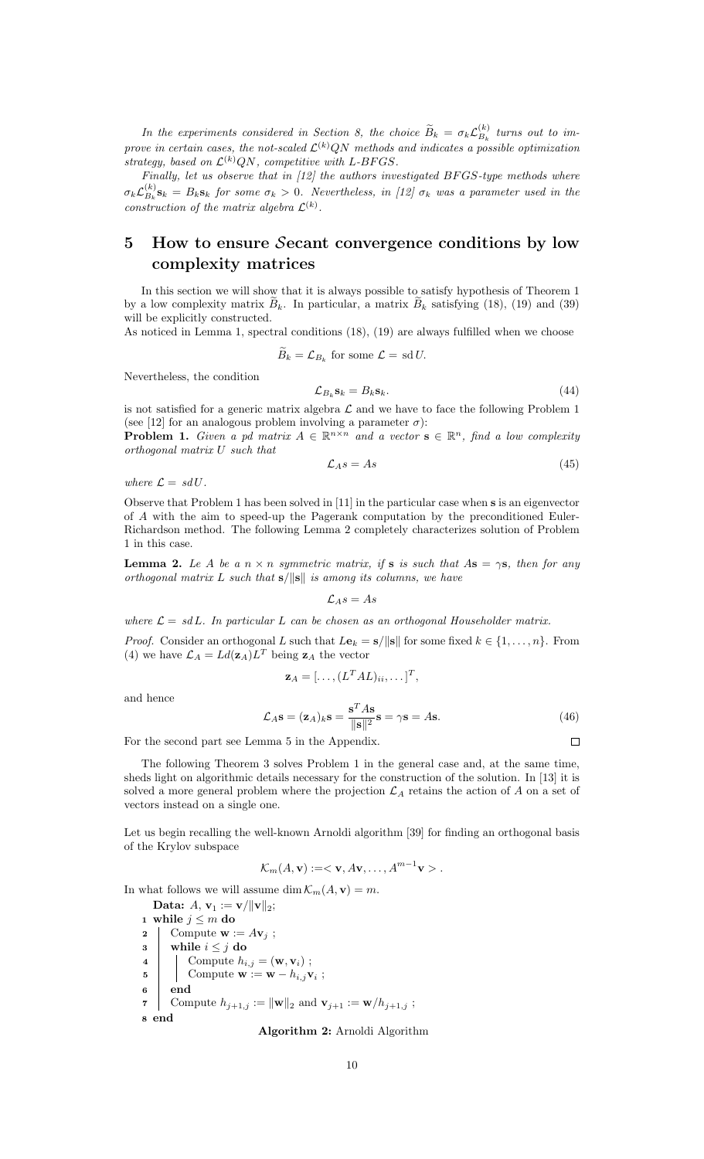In the experiments considered in Section 8, the choice  $\widetilde{B}_k = \sigma_k \mathcal{L}_{B_k}^{(k)}$  $\binom{K}{B_k}$  turns out to improve in certain cases, the not-scaled  $\mathcal{L}^{(k)}(N)$  methods and indicates a possible optimization strategy, based on  $\mathcal{L}^{(k)}(N)$ , competitive with L-BFGS.

Finally, let us observe that in [12] the authors investigated BFGS-type methods where  $\sigma_k {\cal L}_{B_k}^{(k)}$  $B_k^{(k)}$ **S**<sub>k</sub> =  $B_k$ **S**<sub>k</sub> for some  $\sigma_k > 0$ . Nevertheless, in [12]  $\sigma_k$  was a parameter used in the construction of the matrix algebra  $\mathcal{L}^{(k)}$ .

## 5 How to ensure Secant convergence conditions by low complexity matrices

In this section we will show that it is always possible to satisfy hypothesis of Theorem 1 by a low complexity matrix  $B_k$ . In particular, a matrix  $B_k$  satisfying (18), (19) and (39) will be explicitly constructed.

As noticed in Lemma 1, spectral conditions (18), (19) are always fulfilled when we choose

 $B_k = \mathcal{L}_{B_k}$  for some  $\mathcal{L} = \text{sd } U$ .

Nevertheless, the condition

$$
\mathcal{L}_{B_k} \mathbf{s}_k = B_k \mathbf{s}_k. \tag{44}
$$

is not satisfied for a generic matrix algebra  $\mathcal L$  and we have to face the following Problem 1 (see [12] for an analogous problem involving a parameter  $\sigma$ ):

**Problem 1.** Given a pd matrix  $A \in \mathbb{R}^{n \times n}$  and a vector  $s \in \mathbb{R}^n$ , find a low complexity orthogonal matrix U such that

$$
\mathcal{L}_A s = A s \tag{45}
$$

where  $\mathcal{L} = sdU$ .

Observe that Problem 1 has been solved in [11] in the particular case when s is an eigenvector of A with the aim to speed-up the Pagerank computation by the preconditioned Euler-Richardson method. The following Lemma 2 completely characterizes solution of Problem 1 in this case.

**Lemma 2.** Le A be a  $n \times n$  symmetric matrix, if **s** is such that A**s** =  $\gamma$ **s**, then for any orthogonal matrix L such that  $s/||s||$  is among its columns, we have

 $\mathcal{L}_A s = A s$ 

where  $\mathcal{L} = sdL$ . In particular L can be chosen as an orthogonal Householder matrix.

*Proof.* Consider an orthogonal L such that  $L\mathbf{e}_k = \mathbf{s}/\|\mathbf{s}\|$  for some fixed  $k \in \{1, ..., n\}$ . From (4) we have  $\mathcal{L}_A = L d(\mathbf{z}_A) L^T$  being  $\mathbf{z}_A$  the vector

$$
\mathbf{z}_A = [\ldots, (L^T A L)_{ii}, \ldots]^T,
$$

 $T_{\perp}$ 

and hence

$$
\mathcal{L}_A \mathbf{s} = (\mathbf{z}_A)_k \mathbf{s} = \frac{\mathbf{s}^T A \mathbf{s}}{\|\mathbf{s}\|^2} \mathbf{s} = \gamma \mathbf{s} = A \mathbf{s}.\tag{46}
$$

For the second part see Lemma 5 in the Appendix.

The following Theorem 3 solves Problem 1 in the general case and, at the same time, sheds light on algorithmic details necessary for the construction of the solution. In [13] it is solved a more general problem where the projection  $\mathcal{L}_A$  retains the action of A on a set of vectors instead on a single one.

Let us begin recalling the well-known Arnoldi algorithm [39] for finding an orthogonal basis of the Krylov subspace

$$
\mathcal{K}_m(A, \mathbf{v}) := \langle \mathbf{v}, A\mathbf{v}, \dots, A^{m-1}\mathbf{v} \rangle.
$$

In what follows we will assume dim  $\mathcal{K}_m(A, \mathbf{v}) = m$ .

Data:  $A, v_1 := v / ||v||_2;$ 1 while  $j \leq m$  do 2 Compute  $\mathbf{w} := A\mathbf{v}_i$ ;  $3$  while  $i \leq j$  do 4 Compute  $h_{i,j} = (\mathbf{w}, \mathbf{v}_i);$ 5 | Compute  $\mathbf{w} := \mathbf{w} - h_{i,j} \mathbf{v}_i$ ; <sup>6</sup> end 7 Compute  $h_{j+1,j} := ||\mathbf{w}||_2$  and  $\mathbf{v}_{j+1} := \mathbf{w}/h_{j+1,j}$ ; <sup>8</sup> end

Algorithm 2: Arnoldi Algorithm

 $\Box$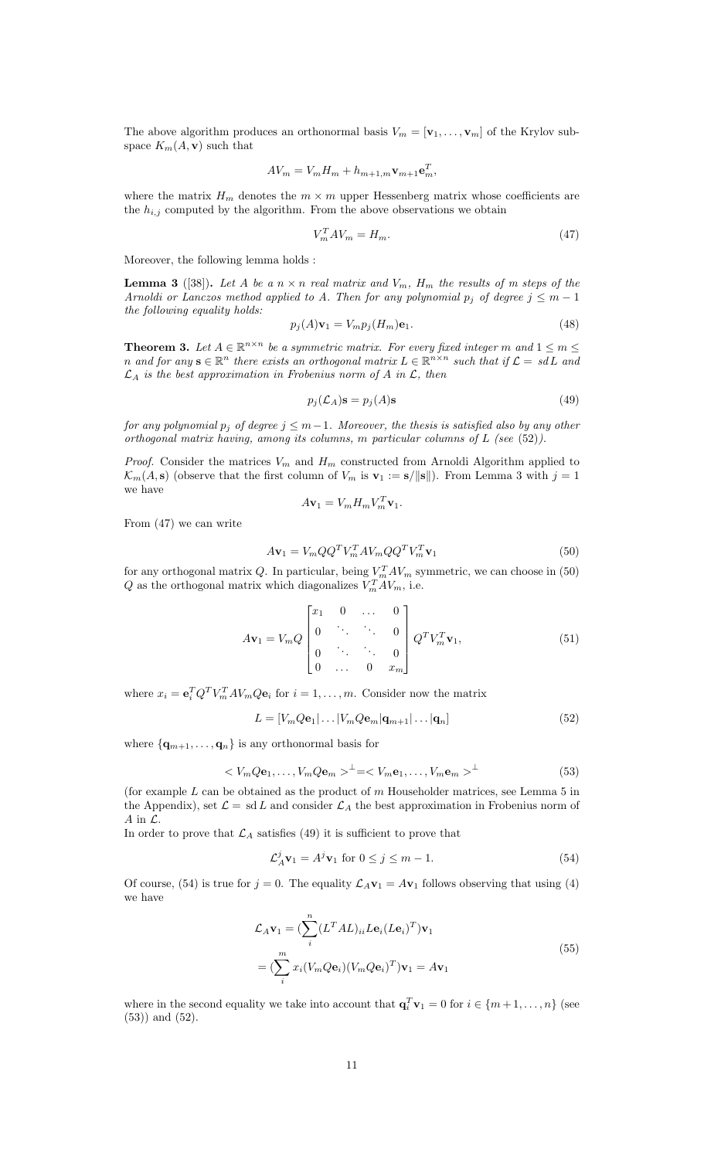The above algorithm produces an orthonormal basis  $V_m = [\mathbf{v}_1, \dots, \mathbf{v}_m]$  of the Krylov subspace  $K_m(A, \mathbf{v})$  such that

$$
AV_m = V_m H_m + h_{m+1,m} \mathbf{v}_{m+1} \mathbf{e}_m^T,
$$

where the matrix  $H_m$  denotes the  $m \times m$  upper Hessenberg matrix whose coefficients are the  $h_{i,j}$  computed by the algorithm. From the above observations we obtain

$$
V_m^T A V_m = H_m. \tag{47}
$$

Moreover, the following lemma holds :

**Lemma 3** ([38]). Let A be a  $n \times n$  real matrix and  $V_m$ ,  $H_m$  the results of m steps of the Arnoldi or Lanczos method applied to A. Then for any polynomial  $p_j$  of degree  $j \leq m-1$ the following equality holds:

$$
p_j(A)\mathbf{v}_1 = V_m p_j(H_m)\mathbf{e}_1.
$$
\n<sup>(48)</sup>

**Theorem 3.** Let  $A \in \mathbb{R}^{n \times n}$  be a symmetric matrix. For every fixed integer m and  $1 \le m \le n$ n and for any  $\mathbf{s} \in \mathbb{R}^n$  there exists an orthogonal matrix  $L \in \mathbb{R}^{n \times n}$  such that if  $\mathcal{L} = sdL$  and  $\mathcal{L}_A$  is the best approximation in Frobenius norm of A in  $\mathcal{L}$ , then

$$
p_j(\mathcal{L}_A)\mathbf{s} = p_j(A)\mathbf{s} \tag{49}
$$

for any polynomial  $p_j$  of degree  $j \leq m-1$ . Moreover, the thesis is satisfied also by any other orthogonal matrix having, among its columns, m particular columns of  $L$  (see (52)).

*Proof.* Consider the matrices  $V_m$  and  $H_m$  constructed from Arnoldi Algorithm applied to  $\mathcal{K}_m(A, \mathbf{s})$  (observe that the first column of  $V_m$  is  $\mathbf{v}_1 := \mathbf{s}/\|\mathbf{s}\|$ ). From Lemma 3 with  $j = 1$ we have  $\tau$ 

$$
A\mathbf{v}_1 = V_m H_m V_m^T \mathbf{v}_1.
$$

From (47) we can write

$$
A\mathbf{v}_1 = V_m Q Q^T V_m^T A V_m Q Q^T V_m^T \mathbf{v}_1
$$
\n
$$
(50)
$$

for any orthogonal matrix Q. In particular, being  $V_m^T A V_m$  symmetric, we can choose in (50) Q as the orthogonal matrix which diagonalizes  $V_m^T A V_m$ , i.e.

$$
A\mathbf{v}_1 = V_m Q \begin{bmatrix} x_1 & 0 & \dots & 0 \\ 0 & \ddots & \ddots & 0 \\ 0 & \ddots & \ddots & 0 \\ 0 & \dots & 0 & x_m \end{bmatrix} Q^T V_m^T \mathbf{v}_1, \tag{51}
$$

where  $x_i = \mathbf{e}_i^T Q^T V_m^T A V_m Q \mathbf{e}_i$  for  $i = 1, ..., m$ . Consider now the matrix

$$
L = [V_m Q \mathbf{e}_1 | \dots | V_m Q \mathbf{e}_m | \mathbf{q}_{m+1} | \dots | \mathbf{q}_n]
$$
\n(52)

where  $\{ \mathbf{q}_{m+1}, \ldots, \mathbf{q}_n \}$  is any orthonormal basis for

$$
\langle V_m Q \mathbf{e}_1, \dots, V_m Q \mathbf{e}_m \rangle^{\perp} = \langle V_m \mathbf{e}_1, \dots, V_m \mathbf{e}_m \rangle^{\perp} \tag{53}
$$

(for example  $L$  can be obtained as the product of  $m$  Householder matrices, see Lemma 5 in the Appendix), set  $\mathcal{L} = \mathrm{sd}\,L$  and consider  $\mathcal{L}_A$  the best approximation in Frobenius norm of A in  $\mathcal{L}$ .

In order to prove that  $\mathcal{L}_A$  satisfies (49) it is sufficient to prove that

$$
\mathcal{L}_A^j \mathbf{v}_1 = A^j \mathbf{v}_1 \text{ for } 0 \le j \le m - 1. \tag{54}
$$

Of course, (54) is true for  $j = 0$ . The equality  $\mathcal{L}_A \mathbf{v}_1 = A \mathbf{v}_1$  follows observing that using (4) we have

$$
\mathcal{L}_A \mathbf{v}_1 = \left( \sum_i^n (L^T A L)_{ii} L \mathbf{e}_i (L \mathbf{e}_i)^T \right) \mathbf{v}_1
$$
  
= 
$$
\left( \sum_i^m x_i (V_m Q \mathbf{e}_i) (V_m Q \mathbf{e}_i)^T \right) \mathbf{v}_1 = A \mathbf{v}_1
$$
 (55)

where in the second equality we take into account that  $\mathbf{q}_i^T \mathbf{v}_1 = 0$  for  $i \in \{m+1, \ldots, n\}$  (see (53)) and (52).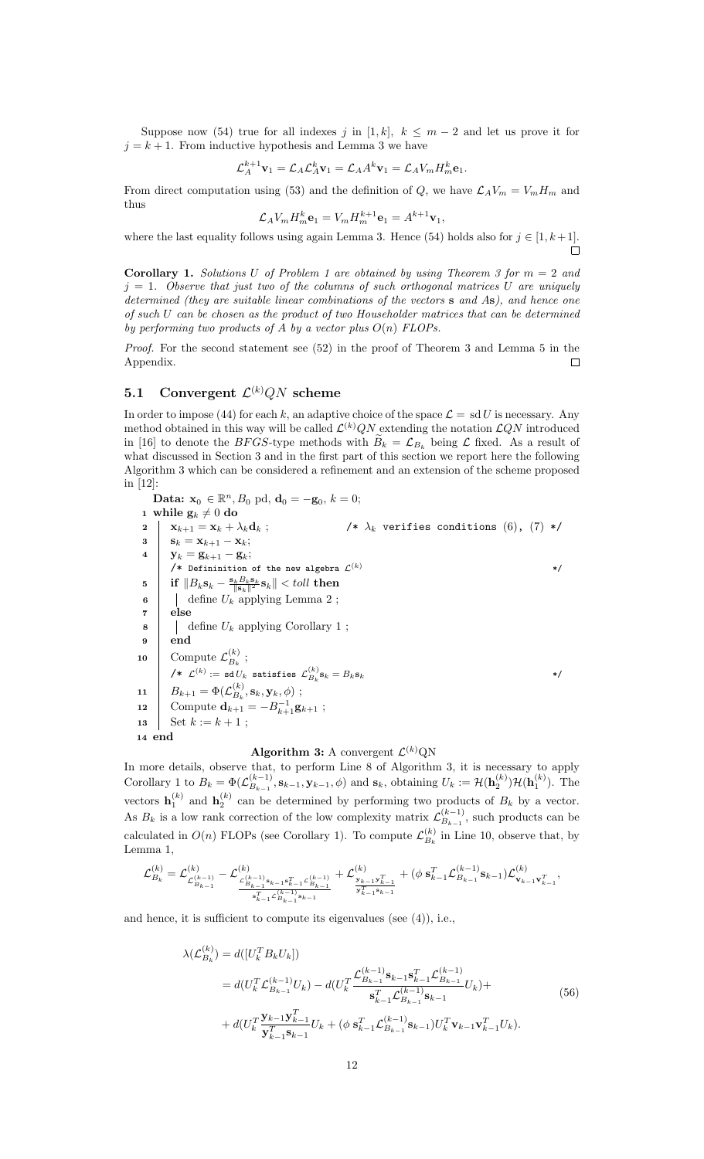Suppose now (54) true for all indexes j in [1, k],  $k \leq m-2$  and let us prove it for  $j = k + 1$ . From inductive hypothesis and Lemma 3 we have

$$
\mathcal{L}_A^{k+1} \mathbf{v}_1 = \mathcal{L}_A \mathcal{L}_A^k \mathbf{v}_1 = \mathcal{L}_A A^k \mathbf{v}_1 = \mathcal{L}_A V_m H_m^k \mathbf{e}_1.
$$

From direct computation using (53) and the definition of Q, we have  $\mathcal{L}_A V_m = V_m H_m$  and thus

$$
\mathcal{L}_A V_m H_m^k \mathbf{e}_1 = V_m H_m^{k+1} \mathbf{e}_1 = A^{k+1} \mathbf{v}_1,
$$

where the last equality follows using again Lemma 3. Hence (54) holds also for  $j \in [1, k+1]$ .  $\Box$ 

**Corollary 1.** Solutions U of Problem 1 are obtained by using Theorem 3 for  $m = 2$  and  $j = 1$ . Observe that just two of the columns of such orthogonal matrices U are uniquely determined (they are suitable linear combinations of the vectors s and As), and hence one of such U can be chosen as the product of two Householder matrices that can be determined by performing two products of A by a vector plus  $O(n)$  FLOPs.

Proof. For the second statement see (52) in the proof of Theorem 3 and Lemma 5 in the Appendix.  $\Box$ 

### 5.1 Convergent  $\mathcal{L}^{(k)}QN$  scheme

In order to impose (44) for each k, an adaptive choice of the space  $\mathcal{L} = \text{sd } U$  is necessary. Any method obtained in this way will be called  $\mathcal{L}^{(k)}(N)$  extending the notation  $\mathcal{L}^{(k)}(N)$  introduced in [16] to denote the BFGS-type methods with  $B_k = \mathcal{L}_{B_k}$  being  $\mathcal L$  fixed. As a result of what discussed in Section 3 and in the first part of this section we report here the following Algorithm 3 which can be considered a refinement and an extension of the scheme proposed in [12]:

Data:  $x_0 \in \mathbb{R}^n$ ,  $B_0$  pd,  $d_0 = -g_0$ ,  $k = 0$ ; 1 while  $\mathbf{g}_k \neq 0$  do 2  $\begin{array}{ccc} \mathbf{X}_{k+1} = \mathbf{X}_k + \lambda_k \mathbf{d}_k \end{array}$ ;  $\qquad \qquad \mathbf{X}_k$  verifies conditions  $(6)$ ,  $(7)$  \*/  $3 \mid s_k = x_{k+1} - x_k;$ 4 |  $y_k = g_{k+1} - g_k;$ /\* Defininition of the new algebra  $\mathcal{L}^{(k)}$  \*/  $\begin{array}{ll} \textbf{5} \end{array} \begin{array}{ll} \textbf{if} \ \Vert B_k\textbf{s}_k - \frac{\textbf{s}_kB_k\textbf{s}_k}{\Vert \textbf{s}_k \Vert^2}\textbf{s}_k \Vert < \textit{toll} \ \textbf{then} \end{array}$ 6 define  $U_k$  applying Lemma 2; 7 else  $\mathbf{8}$  | define  $U_k$  applying Corollary 1; 9 end 10 Compute  $\mathcal{L}_{B_k}^{(k)}$ ;  $B_k$  $\mathcal{L}^{(k)} := \mathtt{sd} U_k$  satisfies  $\mathcal{L}_{B_k}^{(k)} \mathbf{s}_k = B_k \mathbf{s}_k$  \*/  $\begin{array}{ccc} \texttt{11} & B_{k+1} = \Phi(\mathcal{L}_{B_k}^{(k)}) \end{array}$  $B_k^{(\kappa)},\mathbf{s}_k,\mathbf{y}_k,\phi)$ ; 12 Compute  $\mathbf{d}_{k+1} = -B_{k+1}^{-1}\mathbf{g}_{k+1}$ ; 13 | Set  $k := k + 1$ ; 14 end

#### Algorithm 3: A convergent  $\mathcal{L}^{(k)}$ QN

In more details, observe that, to perform Line 8 of Algorithm 3, it is necessary to apply Corollary 1 to  $B_k = \Phi(\mathcal{L}_{B_{k-1}}^{(k-1)})$  $\mathcal{B}_{B_{k-1}}^{(k-1)}, \mathbf{s}_{k-1}, \mathbf{y}_{k-1}, \phi)$  and  $\mathbf{s}_k$ , obtaining  $U_k := \mathcal{H}(\mathbf{h}_2^{(k)})\mathcal{H}(\mathbf{h}_1^{(k)})$ . The vectors  $\mathbf{h}_1^{(k)}$  and  $\mathbf{h}_2^{(k)}$  can be determined by performing two products of  $B_k$  by a vector. As  $B_k$  is a low rank correction of the low complexity matrix  $\mathcal{L}_{B_{k-1}}^{(k-1)}$  $\mathbb{B}_{k-1}^{(k-1)}$ , such products can be calculated in  $O(n)$  FLOPs (see Corollary 1). To compute  $\mathcal{L}_{B_n}^{(k)}$  $B_k^{(k)}$  in Line 10, observe that, by Lemma 1,

$$
\mathcal{L}_{B_k}^{(k)} = \mathcal{L}_{\mathcal{L}_{B_{k-1}}^{(k-1)}}^{(k)} - \mathcal{L}_{\frac{\mathcal{L}_{B_{k-1}}^{(k-1)}\mathbf{s}_{k-1}\mathbf{s}_{k-1}^T\mathcal{L}_{B_{k-1}}^{(k-1)}}{\mathbf{s}_{k-1}^T\mathcal{L}_{B_{k-1}}^{(k-1)}}} + \mathcal{L}_{\frac{\mathbf{y}_{k-1}\mathbf{y}_{k-1}^T}{\mathbf{y}_{k-1}^T\mathbf{s}_{k-1}}}^{(k)} + (\phi\;\mathbf{s}_{k-1}^T\mathcal{L}_{B_{k-1}}^{(k-1)}\mathbf{s}_{k-1})\mathcal{L}_{\mathbf{v}_{k-1}\mathbf{v}_{k-1}^T}^{(k)},
$$

and hence, it is sufficient to compute its eigenvalues (see (4)), i.e.,

$$
\lambda(\mathcal{L}_{B_k}^{(k)}) = d([U_k^T B_k U_k])
$$
\n
$$
= d(U_k^T \mathcal{L}_{B_{k-1}}^{(k-1)} U_k) - d(U_k^T \frac{\mathcal{L}_{B_{k-1}}^{(k-1)} \mathbf{s}_{k-1} \mathbf{s}_{k-1}^T \mathcal{L}_{B_{k-1}}^{(k-1)}}{\mathbf{s}_{k-1}^T \mathcal{L}_{B_{k-1}}^{(k-1)} \mathbf{s}_{k-1}} U_k) +
$$
\n
$$
+ d(U_k^T \frac{\mathbf{y}_{k-1} \mathbf{y}_{k-1}^T}{\mathbf{y}_{k-1}^T \mathbf{s}_{k-1}} U_k + (\phi \mathbf{s}_{k-1}^T \mathcal{L}_{B_{k-1}}^{(k-1)} \mathbf{s}_{k-1}) U_k^T \mathbf{v}_{k-1} \mathbf{v}_{k-1}^T U_k).
$$
\n(56)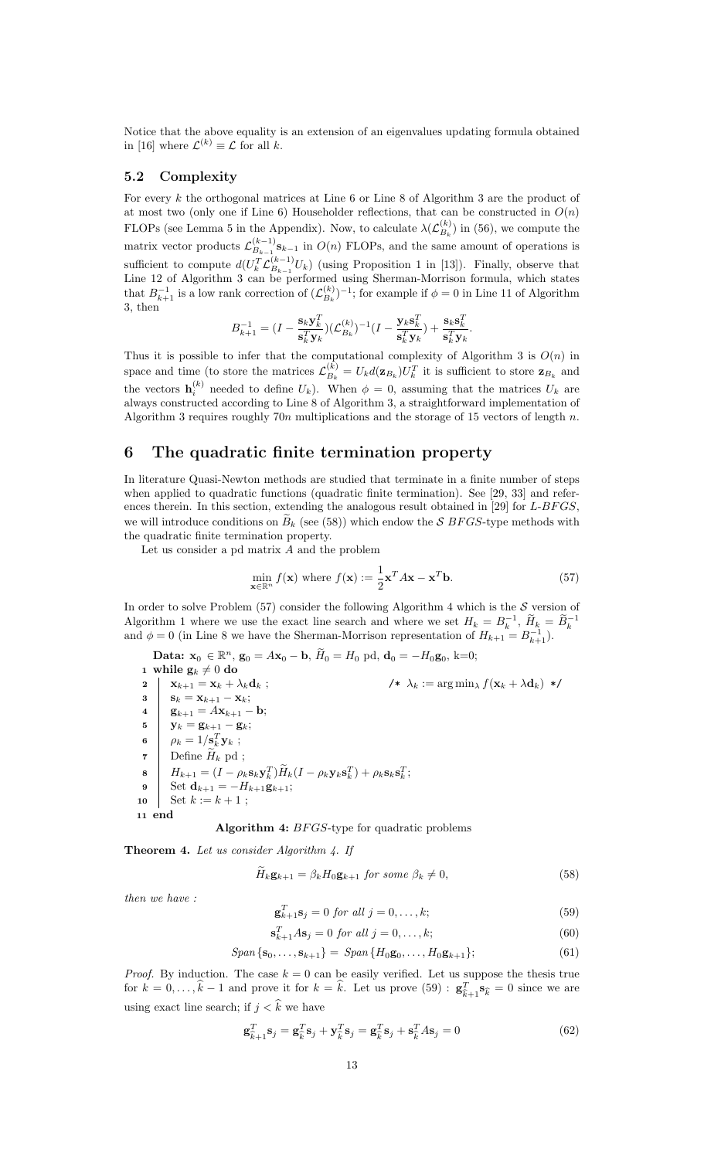Notice that the above equality is an extension of an eigenvalues updating formula obtained in [16] where  $\mathcal{L}^{(k)} \equiv \mathcal{L}$  for all k.

#### 5.2 Complexity

For every  $k$  the orthogonal matrices at Line 6 or Line 8 of Algorithm 3 are the product of at most two (only one if Line 6) Householder reflections, that can be constructed in  $O(n)$ FLOPs (see Lemma 5 in the Appendix). Now, to calculate  $\lambda(\mathcal{L}_{B_i}^{(k)})$  $\binom{k}{B_k}$  in (56), we compute the matrix vector products  $\mathcal{L}_{B_{k-1}}^{(k-1)}$  $B_{k-1}^{k-1}$  in  $O(n)$  FLOPs, and the same amount of operations is sufficient to compute  $d(U_k^T \mathcal{L}_{B_{k-1}}^{(k-1)})$  $_{B_{k-1}}^{(k-1)}U_k$  (using Proposition 1 in [13]). Finally, observe that Line 12 of Algorithm 3 can be performed using Sherman-Morrison formula, which states that  $B^{-1}_{k+1}$  is a low rank correction of  $(\mathcal{L}_{B_k}^{(k)})$  $\binom{k}{B_k}$ <sup>-1</sup>; for example if  $\phi = 0$  in Line 11 of Algorithm 3, then

$$
B_{k+1}^{-1} = (I - \frac{\mathbf{s}_k \mathbf{y}_k^T}{\mathbf{s}_k^T \mathbf{y}_k})(\mathcal{L}_{B_k}^{(k)})^{-1} (I - \frac{\mathbf{y}_k \mathbf{s}_k^T}{\mathbf{s}_k^T \mathbf{y}_k}) + \frac{\mathbf{s}_k \mathbf{s}_k^T}{\mathbf{s}_k^T \mathbf{y}_k}.
$$

Thus it is possible to infer that the computational complexity of Algorithm 3 is  $O(n)$  in space and time (to store the matrices  $\mathcal{L}_{B_k}^{(k)}$  $\mathcal{L}_{B_k}^{(k)} = U_k d(\mathbf{z}_{B_k}) U_k^T$  it is sufficient to store  $\mathbf{z}_{B_k}$  and the vectors  $\mathbf{h}_i^{(k)}$  needed to define  $U_k$ ). When  $\phi = 0$ , assuming that the matrices  $U_k$  are always constructed according to Line 8 of Algorithm 3, a straightforward implementation of Algorithm 3 requires roughly  $70n$  multiplications and the storage of 15 vectors of length n.

## 6 The quadratic finite termination property

In literature Quasi-Newton methods are studied that terminate in a finite number of steps when applied to quadratic functions (quadratic finite termination). See [29, 33] and references therein. In this section, extending the analogous result obtained in [29] for  $L-BFGS$ , we will introduce conditions on  $B_k$  (see (58)) which endow the S BFGS-type methods with the quadratic finite termination property.

Let us consider a pd matrix A and the problem

$$
\min_{\mathbf{x} \in \mathbb{R}^n} f(\mathbf{x}) \text{ where } f(\mathbf{x}) := \frac{1}{2} \mathbf{x}^T A \mathbf{x} - \mathbf{x}^T \mathbf{b}.
$$
 (57)

In order to solve Problem  $(57)$  consider the following Algorithm 4 which is the  $S$  version of Algorithm 1 where we use the exact line search and where we set  $H_k = B_k^{-1}$ ,  $\widetilde{H}_k = \widetilde{B}_k^{-1}$  and  $\phi = 0$  (in Line 8 we have the Sherman-Morrison representation of  $H_{k+1} = B_{k+1}^{-1}$ ).

**Data:**  $\mathbf{x}_0 \in \mathbb{R}^n$ ,  $\mathbf{g}_0 = A\mathbf{x}_0 - \mathbf{b}$ ,  $\widetilde{H}_0 = H_0$  pd,  $\mathbf{d}_0 = -H_0\mathbf{g}_0$ , k=0; 1 while  $\mathbf{g}_k \neq 0$  do 2  $\mathbf{x}_{k+1} = \mathbf{x}_k + \lambda_k \mathbf{d}_k$ ;  $\qquad \qquad \mathbf{x}_k := \arg \min_{\lambda} f(\mathbf{x}_k + \lambda \mathbf{d}_k) \cdot \mathbf{x}$  $3 \mid S_k = X_{k+1} - X_k;$ 4 **g**<sub>k+1</sub> =  $A$ **x**<sub>k+1</sub> - **b**;  $\mathbf{5} \quad | \quad \mathbf{y}_k = \mathbf{g}_{k+1} - \mathbf{g}_k;$ 6  $\rho_k = 1/\mathbf{s}_k^T \mathbf{y}_k;$ 7 Define  $H_k$  pd;<br>8  $H_{k+1} = (I - \rho_k)$  $\mathbf{B} \quad \bigg| \quad H_{k+1} = (I - \rho_k \mathbf{s}_k \mathbf{y}_k^T) \widetilde{H}_k (I - \rho_k \mathbf{y}_k \mathbf{s}_k^T) + \rho_k \mathbf{s}_k \mathbf{s}_k^T;$ 9 Set  $\mathbf{d}_{k+1} = -H_{k+1}\mathbf{g}_{k+1};$ 10 | Set  $k := k + 1$ ; 11 end

Algorithm 4: BFGS-type for quadratic problems

**Theorem 4.** Let us consider Algorithm 4. If

$$
H_k \mathbf{g}_{k+1} = \beta_k H_0 \mathbf{g}_{k+1} \text{ for some } \beta_k \neq 0,
$$
\n(58)

then we have :

$$
\mathbf{g}_{k+1}^T \mathbf{s}_j = 0 \text{ for all } j = 0, \dots, k; \tag{59}
$$

$$
\mathbf{s}_{k+1}^T A \mathbf{s}_j = 0 \text{ for all } j = 0, \dots, k; \tag{60}
$$

$$
Span\left\{ \mathbf{s}_0, \dots, \mathbf{s}_{k+1} \right\} = Span\left\{ H_0 \mathbf{g}_0, \dots, H_0 \mathbf{g}_{k+1} \right\};\tag{61}
$$

*Proof.* By induction. The case  $k = 0$  can be easily verified. Let us suppose the thesis true for  $k = 0, \ldots, \hat{k} - 1$  and prove it for  $k = \hat{k}$ . Let us prove (59) :  $\mathbf{g}_{\hat{k}}^T$  $\sum_{k=1}^{T} \mathbf{s}_k = 0$  since we are using exact line search; if  $j < \hat{k}$  we have

$$
\mathbf{g}_{\hat{k}+1}^T \mathbf{s}_j = \mathbf{g}_{\hat{k}}^T \mathbf{s}_j + \mathbf{y}_{\hat{k}}^T \mathbf{s}_j = \mathbf{g}_{\hat{k}}^T \mathbf{s}_j + \mathbf{s}_{\hat{k}}^T A \mathbf{s}_j = 0
$$
 (62)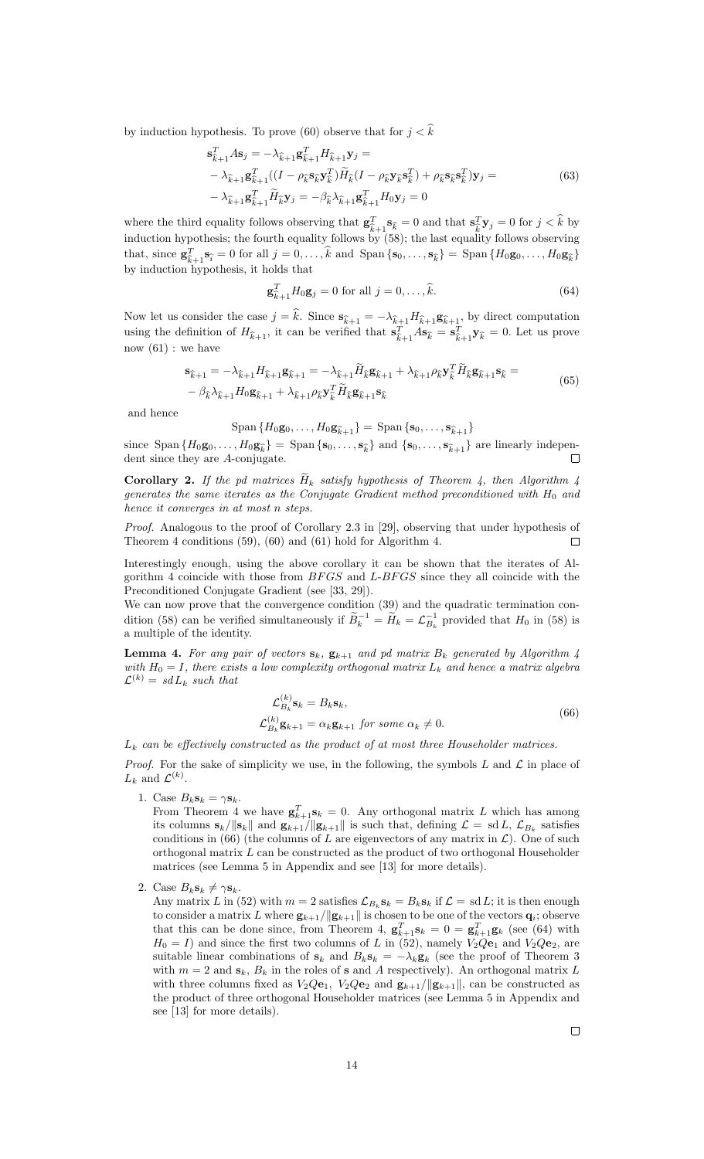by induction hypothesis. To prove (60) observe that for  $j < \hat{k}$ 

$$
\mathbf{s}_{\widehat{k}+1}^T A \mathbf{s}_j = -\lambda_{\widehat{k}+1} \mathbf{g}_{\widehat{k}+1}^T H_{\widehat{k}+1} \mathbf{y}_j =
$$
\n
$$
-\lambda_{\widehat{k}+1} \mathbf{g}_{\widehat{k}+1}^T ((I - \rho_{\widehat{k}} \mathbf{s}_{\widehat{k}} \mathbf{y}_{\widehat{k}}^T) \widetilde{H}_{\widehat{k}} (I - \rho_{\widehat{k}} \mathbf{y}_{\widehat{k}} \mathbf{s}_{\widehat{k}}^T) + \rho_{\widehat{k}} \mathbf{s}_{\widehat{k}} \mathbf{s}_{\widehat{k}}^T) \mathbf{y}_j =
$$
\n
$$
-\lambda_{\widehat{k}+1} \mathbf{g}_{\widehat{k}+1}^T \widetilde{H}_{\widehat{k}} \mathbf{y}_j = -\beta_{\widehat{k}} \lambda_{\widehat{k}+1} \mathbf{g}_{\widehat{k}+1}^T H_0 \mathbf{y}_j = 0
$$
\n(63)

where the third equality follows observing that  $\mathbf{g}_{\hat{i}}^T$  $\hat{k}$ <sub> $\hat{k}$ </sub> + 1 $\hat{s}_k$  = 0 and that  $s_{\hat{k}}^T$  $\sum_{k=1}^{T} \mathbf{y}_j = 0$  for  $j < k$  by induction hypothesis; the fourth equality follows by (58); the last equality follows observing that, since  $\mathbf{g}_{\widehat{i}}^T$  $\begin{array}{l}\n\mathcal{F}_{k+1}^T \mathbf{s}_{\hat{i}} = 0 \text{ for all } j = 0, \ldots, k \text{ and } \text{Span} \{\mathbf{s}_0, \ldots, \mathbf{s}_{\hat{k}}\} = \text{Span} \{H_0 \mathbf{g}_0, \ldots, H_0 \mathbf{g}_{\hat{k}}\}.\n\end{array}$ by induction hypothesis, it holds that

$$
\mathbf{g}_{\hat{k}+1}^T H_0 \mathbf{g}_j = 0 \text{ for all } j = 0, \dots, \hat{k}.\tag{64}
$$

Now let us consider the case  $j = k$ . Since  $\mathbf{s}_{\widehat{k}+1} = -\lambda_{\widehat{k}+1}H_{\widehat{k}+1}\mathbf{g}_{\widehat{k}+1}$ , by direct computation using the definition of  $H_{\hat{k}+1}$ , it can be verified that  $\mathbf{s}_{\hat{k}}^T$  $\int_{\hat{k}+1}^{T} A \mathbf{s}_{\hat{k}} = \mathbf{s}_{\hat{k}}^{T}$  $\widehat{k}_{+1}^T \mathbf{y}_{\widehat{k}} = 0$ . Let us prove now  $(61)$ : we have

$$
\mathbf{s}_{\widehat{k}+1} = -\lambda_{\widehat{k}+1} H_{\widehat{k}+1} \mathbf{g}_{\widehat{k}+1} = -\lambda_{\widehat{k}+1} \widetilde{H}_{\widehat{k}} \mathbf{g}_{\widehat{k}+1} + \lambda_{\widehat{k}+1} \rho_{\widehat{k}} \mathbf{y}_{\widehat{k}}^T \widetilde{H}_{\widehat{k}} \mathbf{g}_{\widehat{k}+1} \mathbf{s}_{\widehat{k}} =
$$
  

$$
-\beta_{\widehat{k}} \lambda_{\widehat{k}+1} H_0 \mathbf{g}_{\widehat{k}+1} + \lambda_{\widehat{k}+1} \rho_{\widehat{k}} \mathbf{y}_{\widehat{k}}^T \widetilde{H}_{\widehat{k}} \mathbf{g}_{\widehat{k}+1} \mathbf{s}_{\widehat{k}}
$$
 (65)

and hence

$$
\text{Span}\{H_0\mathbf{g}_0,\ldots,H_0\mathbf{g}_{\widehat{k}+1}\}=\text{Span}\{\mathbf{s}_0,\ldots,\mathbf{s}_{\widehat{k}+1}\}
$$

since  $\text{Span} \{H_0 \mathbf{g}_0, \ldots, H_0 \mathbf{g}_{\widehat{k}}\} = \text{Span} \{ \mathbf{s}_0, \ldots, \mathbf{s}_{\widehat{k}} \}$  and  $\{ \mathbf{s}_0, \ldots, \mathbf{s}_{\widehat{k}+1} \}$  are linearly independent since there are 4 conjuncts. dent since they are A-conjugate.

**Corollary 2.** If the pd matrices  $H_k$  satisfy hypothesis of Theorem 4, then Algorithm 4 generates the same iterates as the Conjugate Gradient method preconditioned with  $H_0$  and hence it converges in at most n steps.

Proof. Analogous to the proof of Corollary 2.3 in [29], observing that under hypothesis of Theorem 4 conditions (59), (60) and (61) hold for Algorithm 4.  $\Box$ 

Interestingly enough, using the above corollary it can be shown that the iterates of Algorithm 4 coincide with those from  $BFGS$  and  $L-BFGS$  since they all coincide with the Preconditioned Conjugate Gradient (see [33, 29]).

We can now prove that the convergence condition (39) and the quadratic termination condition (58) can be verified simultaneously if  $\widetilde{B}_k^{-1} = \widetilde{H}_k = \mathcal{L}_{B_k}^{-1}$  provided that  $H_0$  in (58) is a multiple of the identity.

**Lemma 4.** For any pair of vectors  $\mathbf{s}_k$ ,  $\mathbf{g}_{k+1}$  and pd matrix  $B_k$  generated by Algorithm 4 with  $H_0 = I$ , there exists a low complexity orthogonal matrix  $L_k$  and hence a matrix algebra  $\mathcal{L}^{(k)} = sdL_k$  such that

$$
\mathcal{L}_{B_k}^{(k)} \mathbf{s}_k = B_k \mathbf{s}_k, \n\mathcal{L}_{B_k}^{(k)} \mathbf{g}_{k+1} = \alpha_k \mathbf{g}_{k+1} \text{ for some } \alpha_k \neq 0.
$$
\n(66)

 $L_k$  can be effectively constructed as the product of at most three Householder matrices.

*Proof.* For the sake of simplicity we use, in the following, the symbols L and L in place of  $L_k$  and  $\mathcal{L}^{(k)}$ .

1. Case  $B_k \mathbf{s}_k = \gamma \mathbf{s}_k$ .

From Theorem 4 we have  $\mathbf{g}_{k+1}^T \mathbf{s}_k = 0$ . Any orthogonal matrix L which has among its columns  $\mathbf{s}_k / \|\mathbf{s}_k\|$  and  $\mathbf{g}_{k+1} / \|\mathbf{g}_{k+1}\|$  is such that, defining  $\mathcal{L} = \text{sd } L$ ,  $\mathcal{L}_{B_k}$  satisfies conditions in (66) (the columns of L are eigenvectors of any matrix in  $\mathcal{L}$ ). One of such orthogonal matrix  $L$  can be constructed as the product of two orthogonal Householder matrices (see Lemma 5 in Appendix and see [13] for more details).

- 2. Case  $B_k \mathbf{s}_k \neq \gamma \mathbf{s}_k$ .
	- Any matrix L in (52) with  $m = 2$  satisfies  $\mathcal{L}_{B_k}$ **s**<sub>k</sub> =  $B_k$ **s**<sub>k</sub> if  $\mathcal{L} =$  sd L; it is then enough to consider a matrix  $L$  where  $\mathbf{g}_{k+1}/\|\mathbf{g}_{k+1}\|$  is chosen to be one of the vectors  $\mathbf{q}_i$ ; observe that this can be done since, from Theorem 4,  $\mathbf{g}_{k+1}^T \mathbf{s}_k = 0 = \mathbf{g}_{k+1}^T \mathbf{g}_k$  (see (64) with  $H_0 = I$ ) and since the first two columns of L in (52), namely  $V_2Q_{\mathbf{e}_1}$  and  $V_2Q_{\mathbf{e}_2}$ , are suitable linear combinations of  $s_k$  and  $B_k s_k = -\lambda_k g_k$  (see the proof of Theorem 3 with  $m = 2$  and  $\mathbf{s}_k$ ,  $B_k$  in the roles of **s** and A respectively). An orthogonal matrix L with three columns fixed as  $V_2Q\mathbf{e}_1$ ,  $V_2Q\mathbf{e}_2$  and  $\mathbf{g}_{k+1}/\|\mathbf{g}_{k+1}\|$ , can be constructed as the product of three orthogonal Householder matrices (see Lemma 5 in Appendix and see [13] for more details).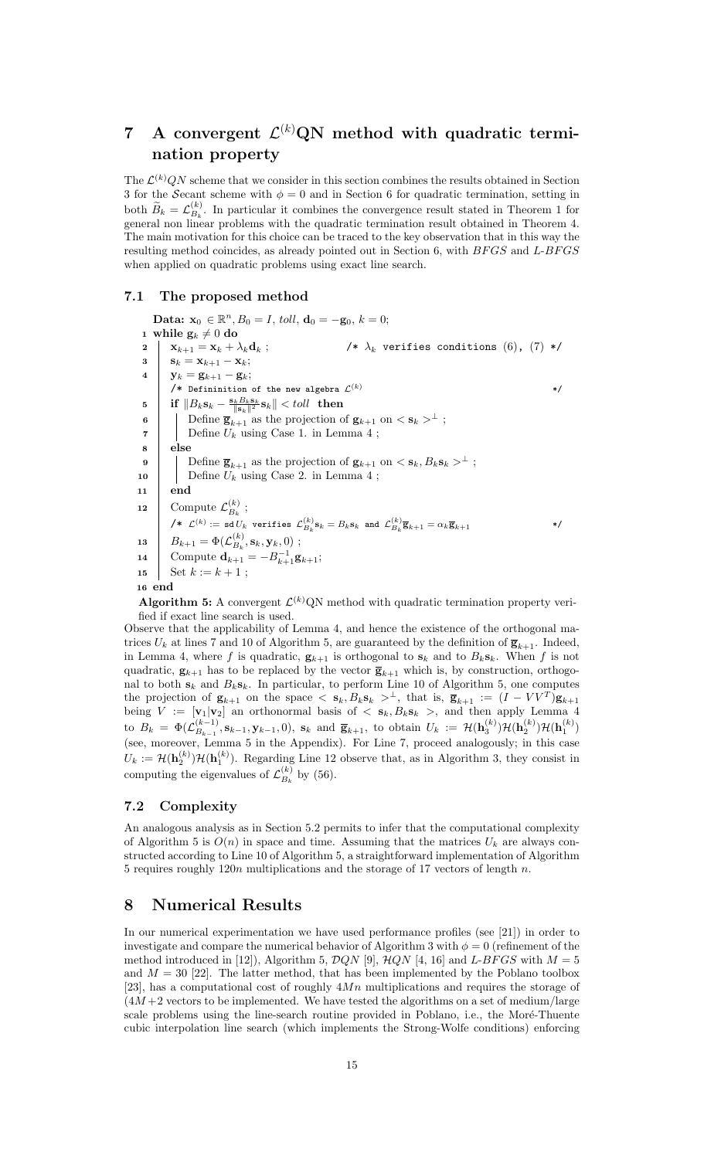# 7 A convergent  $\mathcal{L}^{(k)}$ QN method with quadratic termination property

The  $\mathcal{L}^{(k)}(N)$  scheme that we consider in this section combines the results obtained in Section 3 for the Secant scheme with  $\phi = 0$  and in Section 6 for quadratic termination, setting in both  $\widetilde{B}_k = \mathcal{L}_{B_k}^{(k)}$  $B_k^{(k)}$ . In particular it combines the convergence result stated in Theorem 1 for general non linear problems with the quadratic termination result obtained in Theorem 4. The main motivation for this choice can be traced to the key observation that in this way the resulting method coincides, as already pointed out in Section 6, with  $BFGS$  and  $L-BFGS$ when applied on quadratic problems using exact line search.

#### 7.1 The proposed method

Data:  $\mathbf{x}_0 \in \mathbb{R}^n$ ,  $B_0 = I$ , toll,  $\mathbf{d}_0 = -\mathbf{g}_0$ ,  $k = 0$ ; 1 while  $\mathbf{g}_k\neq 0$  do 2 |  $\mathbf{x}_{k+1} = \mathbf{x}_k + \lambda_k \mathbf{d}_k$ ;  $\qquad \qquad$  /\*  $\lambda_k$  verifies conditions (6), (7) \*/  $3 \mid S_k = X_{k+1} - X_k;$ 4  $\big| \mathbf{y}_k = \mathbf{g}_{k+1} - \mathbf{g}_k;$ /\* Defininition of the new algebra  $\mathcal{L}^{(k)}$  \*/  $\begin{array}{ll} \textbf{5} \end{array} \begin{array}{ll} \textbf{if} \ \|B_k\mathbf{s}_k - \frac{\mathbf{s}_kB_k\mathbf{s}_k}{\|\mathbf{s}_k\|^2}\mathbf{s}_k \| < toll \ \end{array}$  then 6 Define  $\overline{\mathbf{g}}_{k+1}^{n+m}$  as the projection of  $\mathbf{g}_{k+1}$  on  $\langle \mathbf{s}_k \rangle^{\perp}$ ;  $\mathbf{7}$  | Define  $U_k$  using Case 1. in Lemma 4; 8 else 9 Define  $\overline{\mathbf{g}}_{k+1}$  as the projection of  $\mathbf{g}_{k+1}$  on  $\langle \mathbf{s}_k, B_k \mathbf{s}_k \rangle^{\perp}$ ; 10 | Define  $U_k$  using Case 2. in Lemma 4; 11 end 12 Compute  $\mathcal{L}_{B_{\iota}}^{(k)}$  $\frac{\kappa}{B_k}$ ;  $\mathcal{L}^{(k)} := \mathtt{sd}\,U_k$  verifies  $\mathcal{L}_{B_k}^{(k)}\mathbf{s}_k = B_k \mathbf{s}_k$  and  $\mathcal{L}_{B_k}^{(k)}\overline{\mathbf{g}}_{k+1} = \alpha_k \overline{\mathbf{g}}_{k+1}$  \*/  $\begin{array}{|c|c|} \hline \textbf{13} & B_{k+1}=\Phi(\mathcal{L}_{B_k}^{(k)}) \hline \end{array}$  $B_k^{(\kappa)},\mathbf{s}_k,\mathbf{y}_k,0)$ ; 14 Compute  $\mathbf{d}_{k+1} = -B_{k+1}^{-1}\mathbf{g}_{k+1};$ 15 Set  $k := k + 1$ ; 16 end

**Algorithm 5:** A convergent  $\mathcal{L}^{(k)}$ QN method with quadratic termination property verified if exact line search is used.

Observe that the applicability of Lemma 4, and hence the existence of the orthogonal matrices  $U_k$  at lines 7 and 10 of Algorithm 5, are guaranteed by the definition of  $\bar{\mathbf{g}}_{k+1}$ . Indeed, in Lemma 4, where f is quadratic,  $\mathbf{g}_{k+1}$  is orthogonal to  $\mathbf{s}_k$  and to  $B_k \mathbf{s}_k$ . When f is not quadratic,  $\mathbf{g}_{k+1}$  has to be replaced by the vector  $\overline{\mathbf{g}}_{k+1}$  which is, by construction, orthogonal to both  $s_k$  and  $B_k s_k$ . In particular, to perform Line 10 of Algorithm 5, one computes the projection of  $\mathbf{g}_{k+1}$  on the space  $\langle \mathbf{s}_k, B_k \mathbf{s}_k \rangle^{\perp}$ , that is,  $\overline{\mathbf{g}}_{k+1} := (I - V V^T) \mathbf{g}_{k+1}$ being  $V := [\mathbf{v}_1 | \mathbf{v}_2]$  an orthonormal basis of  $\langle \mathbf{s}_k, B_k \mathbf{s}_k \rangle$ , and then apply Lemma 4 to  $B_k = \Phi(\mathcal{L}_{B_{k-1}}^{(k-1)})$  $\mathcal{B}_{B_{k-1}}^{(k-1)}, \mathbf{s}_{k-1}, \mathbf{y}_{k-1}, 0$ ),  $\mathbf{s}_k$  and  $\overline{\mathbf{g}}_{k+1}$ , to obtain  $U_k := \mathcal{H}(\mathbf{h}_{3}^{(k)})\mathcal{H}(\mathbf{h}_{2}^{(k)})\mathcal{H}(\mathbf{h}_{1}^{(k)})$ (see, moreover, Lemma 5 in the Appendix). For Line 7, proceed analogously; in this case  $U_k := \mathcal{H}(\mathbf{h}_2^{(k)})\mathcal{H}(\mathbf{h}_1^{(k)})$ . Regarding Line 12 observe that, as in Algorithm 3, they consist in computing the eigenvalues of  $\mathcal{L}_{B_k}^{(k)}$  $_{B_k}^{(\kappa)}$  by (56).

#### 7.2 Complexity

An analogous analysis as in Section 5.2 permits to infer that the computational complexity of Algorithm 5 is  $O(n)$  in space and time. Assuming that the matrices  $U_k$  are always constructed according to Line 10 of Algorithm 5, a straightforward implementation of Algorithm 5 requires roughly  $120n$  multiplications and the storage of 17 vectors of length n.

## 8 Numerical Results

In our numerical experimentation we have used performance profiles (see [21]) in order to investigate and compare the numerical behavior of Algorithm 3 with  $\phi = 0$  (refinement of the method introduced in [12]), Algorithm 5,  $DQN$  [9],  $HQN$  [4, 16] and  $L-BFGS$  with  $M=5$ and  $M = 30$  [22]. The latter method, that has been implemented by the Poblano toolbox [23], has a computational cost of roughly 4Mn multiplications and requires the storage of  $(4M + 2$  vectors to be implemented. We have tested the algorithms on a set of medium/large scale problems using the line-search routine provided in Poblano, i.e., the Moré-Thuente cubic interpolation line search (which implements the Strong-Wolfe conditions) enforcing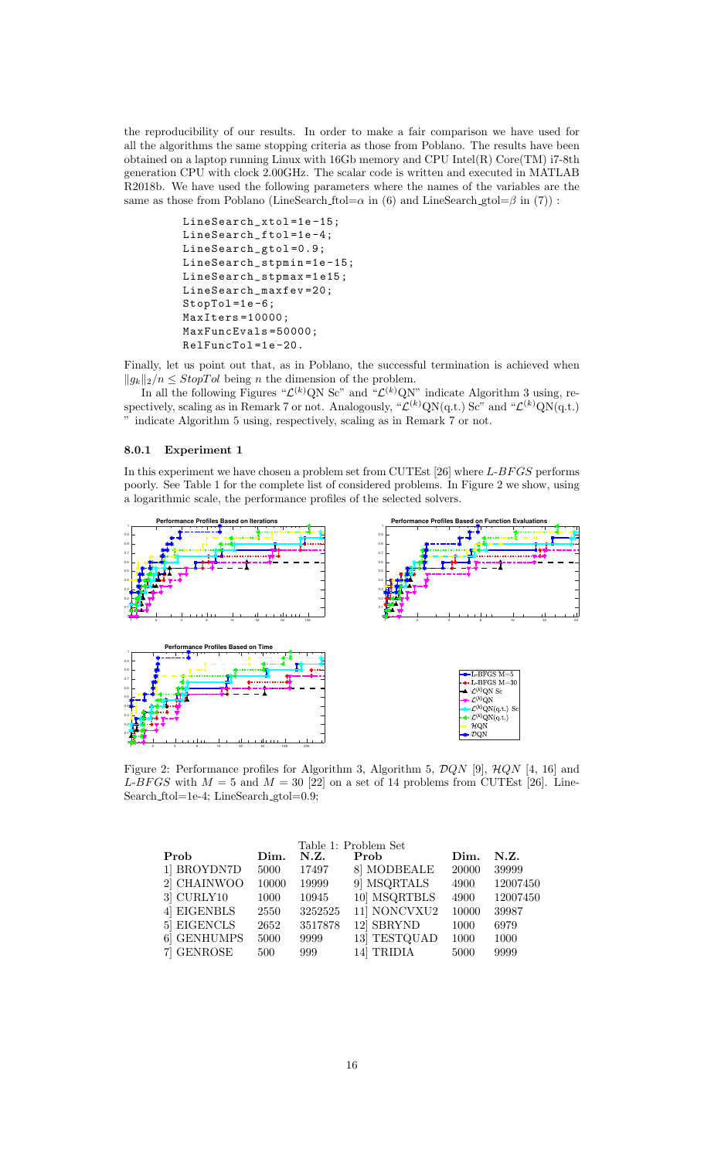the reproducibility of our results. In order to make a fair comparison we have used for all the algorithms the same stopping criteria as those from Poblano. The results have been obtained on a laptop running Linux with 16Gb memory and CPU Intel(R) Core(TM) i7-8th generation CPU with clock 2.00GHz. The scalar code is written and executed in MATLAB R2018b. We have used the following parameters where the names of the variables are the same as those from Poblano (LineSearch ftol= $\alpha$  in (6) and LineSearch gtol= $\beta$  in (7)) :

> LineSearch\_xtol=1e-15; LineSearch\_ftol=1e-4; LineSearch\_gtol =0.9; LineSearch\_stpmin=1e-15; LineSearch\_stpmax =1 e15 ; LineSearch\_maxfev =20;  $StopTol = 1e - 6;$ MaxIters =10000; MaxFuncEvals =50000; RelFuncTol=1e-20.

Finally, let us point out that, as in Poblano, the successful termination is achieved when  $||g_k||_2/n \leq StopTol$  being n the dimension of the problem.

In all the following Figures " $\mathcal{L}^{(k)}$ QN Sc" and " $\mathcal{L}^{(k)}$ QN" indicate Algorithm 3 using, respectively, scaling as in Remark 7 or not. Analogously, " $\mathcal{L}^{(k)}$ QN(q.t.) Sc" and " $\mathcal{L}^{(k)}$ QN(q.t.) " indicate Algorithm 5 using, respectively, scaling as in Remark 7 or not.

#### 8.0.1 Experiment 1

In this experiment we have chosen a problem set from CUTEst  $[26]$  where L-BFGS performs poorly. See Table 1 for the complete list of considered problems. In Figure 2 we show, using a logarithmic scale, the performance profiles of the selected solvers.



Figure 2: Performance profiles for Algorithm 3, Algorithm 5,  $DQN$  [9],  $HQN$  [4, 16] and L-BFGS with  $M = 5$  and  $M = 30$  [22] on a set of 14 problems from CUTEst [26]. Line-Search ftol=1e-4; LineSearch gtol=0.9;

| Table 1: Problem Set |       |         |              |       |          |  |  |  |  |  |  |  |
|----------------------|-------|---------|--------------|-------|----------|--|--|--|--|--|--|--|
| Prob<br>Dim.         |       | N.Z.    | Prob         | Dim.  | N.Z.     |  |  |  |  |  |  |  |
| 1 BROYDN7D           | 5000  | 17497   | 8 MODBEALE   | 20000 | 39999    |  |  |  |  |  |  |  |
| 2 CHAINWOO           | 10000 | 19999   | 9 MSQRTALS   | 4900  | 12007450 |  |  |  |  |  |  |  |
| $3$ CURLY $10$       | 1000  | 10945   | 10 MSQRTBLS  | 4900  | 12007450 |  |  |  |  |  |  |  |
| 4 EIGENBLS           | 2550  | 3252525 | 11] NONCVXU2 | 10000 | 39987    |  |  |  |  |  |  |  |
| 5 EIGENCLS           | 2652  | 3517878 | 12 SBRYND    | 1000  | 6979     |  |  |  |  |  |  |  |
| 6 GENHUMPS           | 5000  | 9999    | 13 TESTQUAD  | 1000  | 1000     |  |  |  |  |  |  |  |
| 7 GENROSE            | 500   | 999     | 14 TRIDIA    | 5000  | 9999     |  |  |  |  |  |  |  |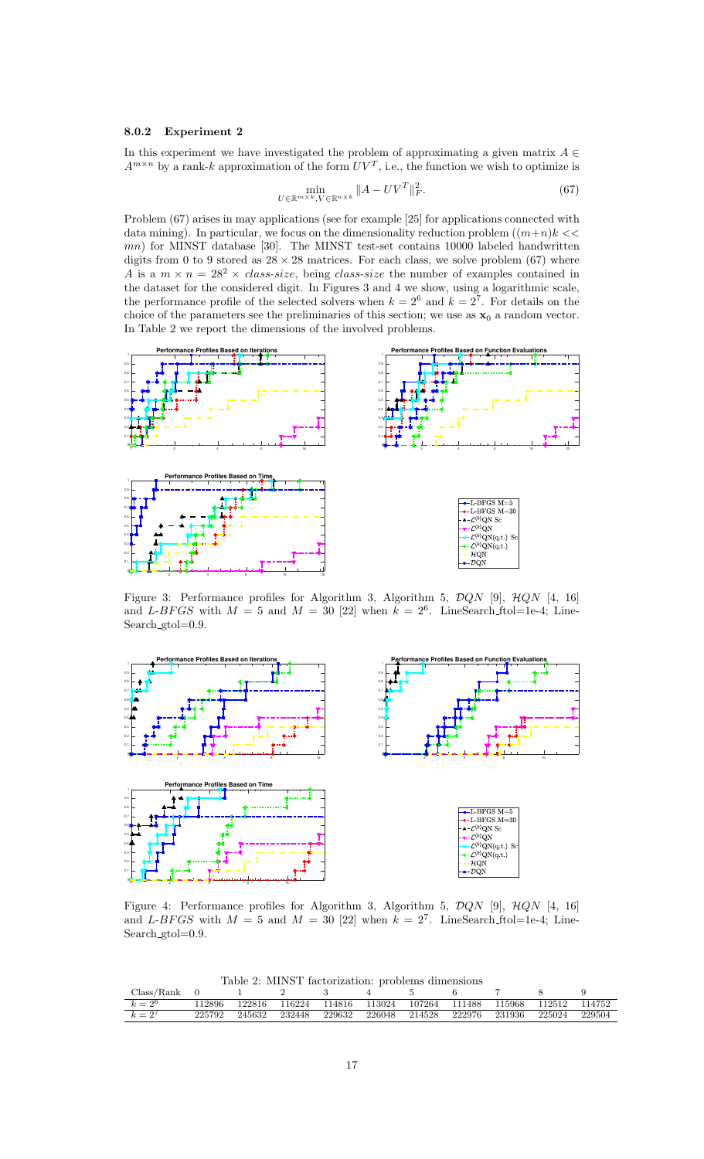#### 8.0.2 Experiment 2

In this experiment we have investigated the problem of approximating a given matrix  $A \in$  $A^{m \times n}$  by a rank-k approximation of the form  $UV^T$ , i.e., the function we wish to optimize is

$$
\min_{U \in \mathbb{R}^{m \times k}, V \in \mathbb{R}^{n \times k}} \|A - UV^T\|_F^2.
$$
\n(67)

Problem  $(67)$  arises in may applications (see for example [25] for applications connected with data mining). In particular, we focus on the dimensionality reduction problem  $((m+n)k <<$ mn) for MINST database [30]. The MINST test-set contains 10000 labeled handwritten digits from 0 to 9 stored as  $28 \times 28$  matrices. For each class, we solve problem (67) where A is a  $m \times n = 28^2 \times \text{class-size}$ , being class-size the number of examples contained in the dataset for the considered digit. In Figures 3 and 4 we show, using a logarithmic scale, the performance profile of the selected solvers when  $k = 2^6$  and  $k = 2^7$ . For details on the choice of the parameters see the preliminaries of this section; we use as  $x_0$  a random vector. In Table 2 we report the dimensions of the involved problems.



Figure 3: Performance profiles for Algorithm 3, Algorithm 5,  $DQN$  [9],  $HQN$  [4, 16] and L-BFGS with  $M = 5$  and  $M = 30$  [22] when  $k = 2^6$ . LineSearch ftol=1e-4; Line Search\_gtol=0.9.



Figure 4: Performance profiles for Algorithm 3, Algorithm 5,  $DQN$  [9],  $HQN$  [4, 16] and L-BFGS with  $M = 5$  and  $M = 30$  [22] when  $k = 2<sup>7</sup>$ . LineSearch\_ftol=1e-4; Line Search\_gtol=0.9.

Table 2: MINST factorization: problems dimensions

| Class/Rank |        |        |        |        |        |        |        |        |        |        |
|------------|--------|--------|--------|--------|--------|--------|--------|--------|--------|--------|
| $k=2^6$    | 12896  | 122816 | 116224 | 114816 | 113024 | 107264 | 111488 | 115968 | 112512 | 114752 |
| $k=2^7$    | 225792 | 245632 | 232448 | 229632 | 226048 | 214528 | 222976 | 231936 | 225024 | 229504 |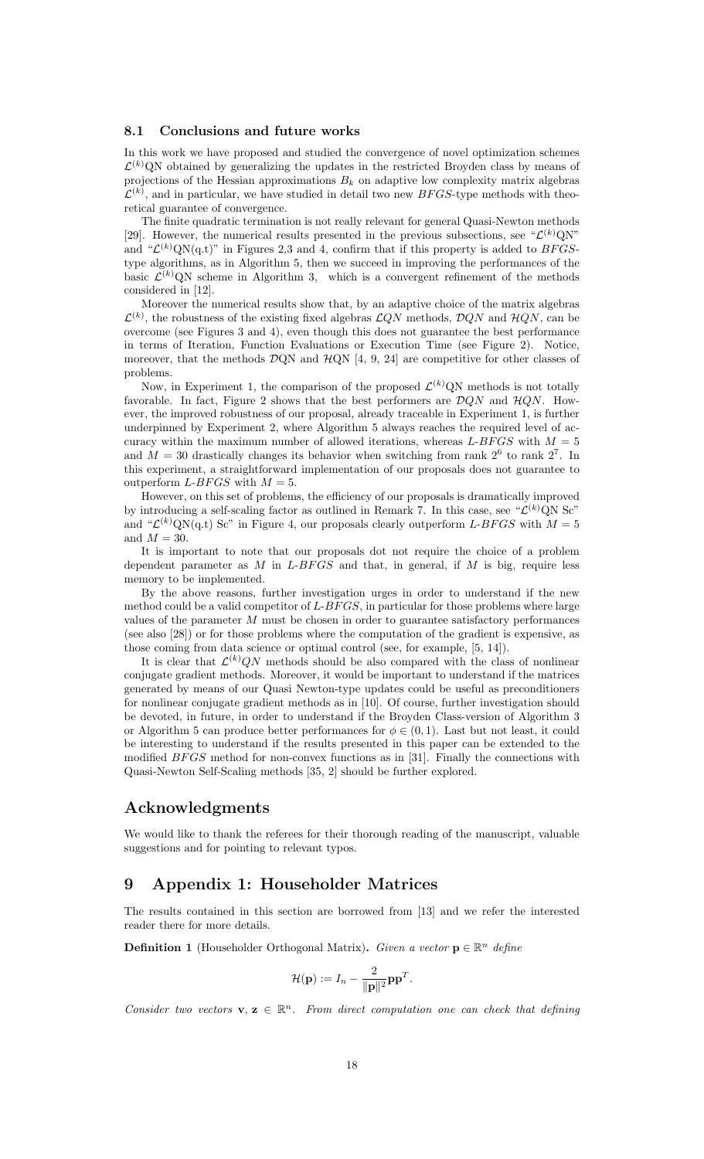#### 8.1 Conclusions and future works

In this work we have proposed and studied the convergence of novel optimization schemes  $\mathcal{L}^{(k)}$ QN obtained by generalizing the updates in the restricted Broyden class by means of projections of the Hessian approximations  $B_k$  on adaptive low complexity matrix algebras  $\mathcal{L}^{(k)}$ , and in particular, we have studied in detail two new BFGS-type methods with theoretical guarantee of convergence.

The finite quadratic termination is not really relevant for general Quasi-Newton methods [29]. However, the numerical results presented in the previous subsections, see " $\mathcal{L}^{(k)}$ QN" and " $\mathcal{L}^{(k)}$ QN(q.t)" in Figures 2,3 and 4, confirm that if this property is added to BFGStype algorithms, as in Algorithm 5, then we succeed in improving the performances of the basic  $\mathcal{L}^{(k)}$ QN scheme in Algorithm 3, which is a convergent refinement of the methods considered in [12].

Moreover the numerical results show that, by an adaptive choice of the matrix algebras  $\mathcal{L}^{(k)}$ , the robustness of the existing fixed algebras  $\mathcal{L}QN$  methods,  $\mathcal{D}QN$  and  $\mathcal{H}QN$ , can be overcome (see Figures 3 and 4), even though this does not guarantee the best performance in terms of Iteration, Function Evaluations or Execution Time (see Figure 2). Notice, moreover, that the methods  $\mathcal{D}QN$  and  $\mathcal{H}QN$  [4, 9, 24] are competitive for other classes of problems.

Now, in Experiment 1, the comparison of the proposed  $\mathcal{L}^{(k)}(N)$  methods is not totally favorable. In fact, Figure 2 shows that the best performers are  $DQN$  and  $HQN$ . However, the improved robustness of our proposal, already traceable in Experiment 1, is further underpinned by Experiment 2, where Algorithm 5 always reaches the required level of accuracy within the maximum number of allowed iterations, whereas  $L-BFGS$  with  $M=5$ and  $M = 30$  drastically changes its behavior when switching from rank  $2^6$  to rank  $2^7$ . In this experiment, a straightforward implementation of our proposals does not guarantee to outperform L-BFGS with  $M = 5$ .

However, on this set of problems, the efficiency of our proposals is dramatically improved by introducing a self-scaling factor as outlined in Remark 7. In this case, see " $\mathcal{L}^{(k)}$ QN Sc" and " $\mathcal{L}^{(k)}$ QN(q.t) Sc" in Figure 4, our proposals clearly outperform L-BFGS with  $M = 5$ and  $M = 30$ .

It is important to note that our proposals dot not require the choice of a problem dependent parameter as  $M$  in  $L$ - $BFGS$  and that, in general, if  $M$  is big, require less memory to be implemented.

By the above reasons, further investigation urges in order to understand if the new method could be a valid competitor of  $L-BFGS$ , in particular for those problems where large values of the parameter  $M$  must be chosen in order to guarantee satisfactory performances (see also [28]) or for those problems where the computation of the gradient is expensive, as those coming from data science or optimal control (see, for example, [5, 14]).

It is clear that  $\mathcal{L}^{(k)}(N)$  methods should be also compared with the class of nonlinear conjugate gradient methods. Moreover, it would be important to understand if the matrices generated by means of our Quasi Newton-type updates could be useful as preconditioners for nonlinear conjugate gradient methods as in [10]. Of course, further investigation should be devoted, in future, in order to understand if the Broyden Class-version of Algorithm 3 or Algorithm 5 can produce better performances for  $\phi \in (0, 1)$ . Last but not least, it could be interesting to understand if the results presented in this paper can be extended to the modified  $BFGS$  method for non-convex functions as in [31]. Finally the connections with Quasi-Newton Self-Scaling methods [35, 2] should be further explored.

## Acknowledgments

We would like to thank the referees for their thorough reading of the manuscript, valuable suggestions and for pointing to relevant typos.

## 9 Appendix 1: Householder Matrices

The results contained in this section are borrowed from [13] and we refer the interested reader there for more details.

**Definition 1** (Householder Orthogonal Matrix). Given a vector  $\mathbf{p} \in \mathbb{R}^n$  define

$$
\mathcal{H}(\mathbf{p}):=I_n-\frac{2}{\|\mathbf{p}\|^2}\mathbf{p}\mathbf{p}^T.
$$

Consider two vectors  $\mathbf{v}, \mathbf{z} \in \mathbb{R}^n$ . From direct computation one can check that defining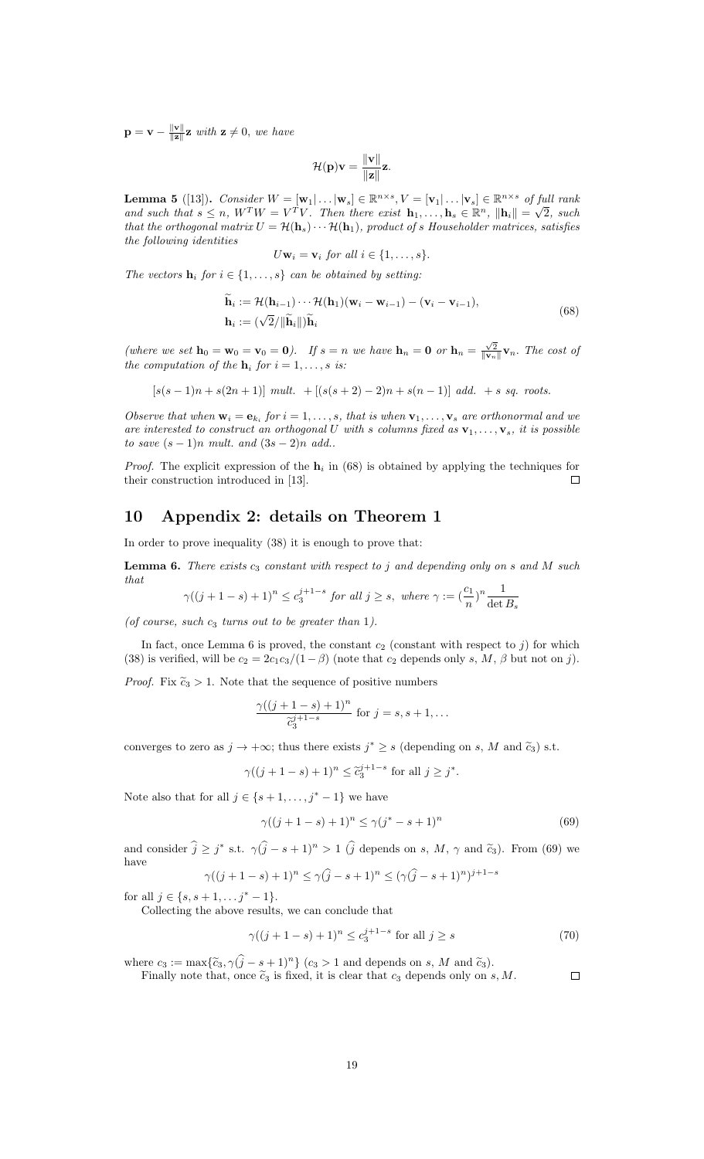$\mathbf{p} = \mathbf{v} - \frac{\|\mathbf{v}\|}{\|\mathbf{z}\|}$  $\frac{\|\mathbf{v}\|}{\|\mathbf{z}\|}$  **z** with  $\mathbf{z} \neq 0$ , we have

$$
\mathcal{H}(\mathbf{p})\mathbf{v} = \frac{\|\mathbf{v}\|}{\|\mathbf{z}\|} \mathbf{z}.
$$

**Lemma 5** ([13]). Consider  $W = [\mathbf{w}_1 | \dots | \mathbf{w}_s] \in \mathbb{R}^{n \times s}, V = [\mathbf{v}_1 | \dots | \mathbf{v}_s] \in \mathbb{R}^{n \times s}$  of full rank **Lemma 5** ([13]). Consider  $W = [\mathbf{w}_1 | \dots | \mathbf{w}_s] \in \mathbb{R}^{m \times n}$ ,  $V = [\mathbf{v}_1 | \dots | \mathbf{v}_s] \in \mathbb{R}^{m \times n}$  of  $f(x)$  and such that  $s \leq n$ ,  $W^T W = V^T V$ . Then there exist  $\mathbf{h}_1, \dots, \mathbf{h}_s \in \mathbb{R}^n$ ,  $\|\mathbf{h}_i\| = \sqrt{n}$ 2, such that the orthogonal matrix  $U = H(\mathbf{h}_s) \cdots H(\mathbf{h}_1)$ , product of s Householder matrices, satisfies the following identities

$$
U\mathbf{w}_i = \mathbf{v}_i \text{ for all } i \in \{1, \ldots, s\}.
$$

The vectors  $\mathbf{h}_i$  for  $i \in \{1, \ldots, s\}$  can be obtained by setting:

$$
\mathbf{h}_{i} := \mathcal{H}(\mathbf{h}_{i-1}) \cdots \mathcal{H}(\mathbf{h}_{1})(\mathbf{w}_{i} - \mathbf{w}_{i-1}) - (\mathbf{v}_{i} - \mathbf{v}_{i-1}),
$$
  
\n
$$
\mathbf{h}_{i} := (\sqrt{2} / \|\widetilde{\mathbf{h}}_{i}\|) \widetilde{\mathbf{h}}_{i}
$$
\n(68)

(where we set  $\mathbf{h}_0 = \mathbf{w}_0 = \mathbf{v}_0 = \mathbf{0}$ ). If  $s = n$  we have  $\mathbf{h}_n = \mathbf{0}$  or  $\mathbf{h}_n = \frac{\sqrt{2}}{\|\mathbf{v}_n\|} \mathbf{v}_n$ . The cost of the computation of the  $\mathbf{h}_i$  for  $i=1,\ldots,s$  is:

$$
[s(s-1)n + s(2n+1)] \text{ mult. } + [(s(s+2)-2)n + s(n-1)] \text{ add. } + s \text{ sq. roots.}
$$

Observe that when  $\mathbf{w}_i = \mathbf{e}_{k_i}$  for  $i = 1, \ldots, s$ , that is when  $\mathbf{v}_1, \ldots, \mathbf{v}_s$  are orthonormal and we are interested to construct an orthogonal U with s columns fixed as  $\mathbf{v}_1, \ldots, \mathbf{v}_s$ , it is possible to save  $(s-1)n$  mult. and  $(3s-2)n$  add..

*Proof.* The explicit expression of the  $h_i$  in (68) is obtained by applying the techniques for their construction introduced in [13].  $\Box$ 

## 10 Appendix 2: details on Theorem 1

In order to prove inequality (38) it is enough to prove that:

**Lemma 6.** There exists  $c_3$  constant with respect to j and depending only on s and M such that

$$
\gamma((j+1-s)+1)^n \le c_3^{j+1-s} \text{ for all } j \ge s, \text{ where } \gamma := \left(\frac{c_1}{n}\right)^n \frac{1}{\det B_s}
$$

(of course, such  $c_3$  turns out to be greater than 1).

In fact, once Lemma 6 is proved, the constant  $c_2$  (constant with respect to j) for which (38) is verified, will be  $c_2 = 2c_1c_3/(1-\beta)$  (note that  $c_2$  depends only s, M,  $\beta$  but not on j).

*Proof.* Fix  $\tilde{c}_3 > 1$ . Note that the sequence of positive numbers

$$
\frac{\gamma((j+1-s)+1)^n}{\tilde{c}_3^{j+1-s}} \text{ for } j=s, s+1, \dots
$$

converges to zero as  $j \to +\infty$ ; thus there exists  $j^* \geq s$  (depending on s, M and  $\tilde{c}_3$ ) s.t.

$$
\gamma((j+1-s)+1)^n \leq \tilde{c}_3^{j+1-s}
$$
 for all  $j \geq j^*$ .

Note also that for all  $j \in \{s+1,\ldots,j^*-1\}$  we have

$$
\gamma((j+1-s)+1)^n \le \gamma(j^*-s+1)^n \tag{69}
$$

and consider  $\hat{j} \geq j^*$  s.t.  $\gamma(\hat{j} - s + 1)^n > 1$  ( $\hat{j}$  depends on s,  $M$ ,  $\gamma$  and  $\tilde{c}_3$ ). From (69) we have

$$
\gamma((j+1-s)+1)^n \le \gamma(\hat{j}-s+1)^n \le (\gamma(\hat{j}-s+1)^n)^{j+1-s}
$$

for all  $j \in \{s, s+1, \ldots j^* - 1\}.$ 

Collecting the above results, we can conclude that

$$
\gamma((j+1-s)+1)^n \le c_3^{j+1-s} \text{ for all } j \ge s \tag{70}
$$

where  $c_3 := \max{\{\tilde{c}_3, \gamma(\hat{j} - s + 1)^n\}}$   $(c_3 > 1$  and depends on s, M and  $\tilde{c}_3$ ).

Finally note that, once  $\tilde{c}_3$  is fixed, it is clear that  $c_3$  depends only on  $s, M$ .  $\Box$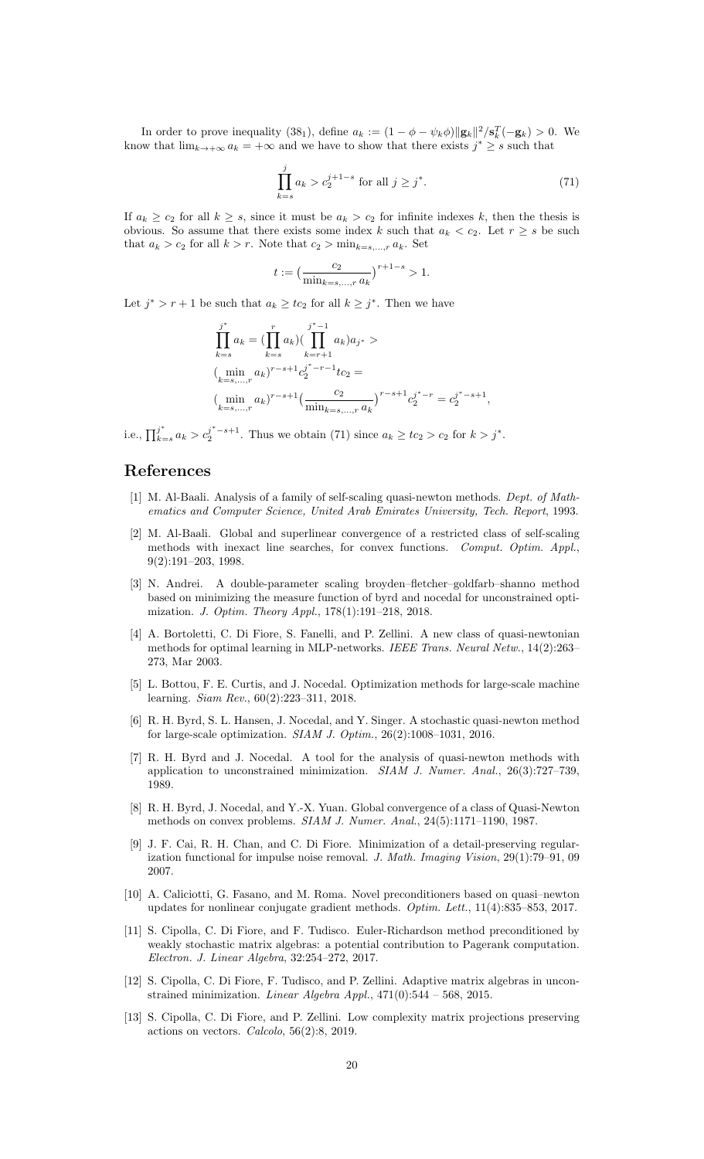In order to prove inequality (38<sub>1</sub>), define  $a_k := (1 - \phi - \psi_k \phi) ||\mathbf{g}_k||^2 / \mathbf{s}_k^T(-\mathbf{g}_k) > 0$ . We know that  $\lim_{k \to +\infty} a_k = +\infty$  and we have to show that there exists  $j^* \geq s$  such that

$$
\prod_{k=s}^{j} a_k > c_2^{j+1-s} \text{ for all } j \ge j^*.
$$
 (71)

If  $a_k \ge c_2$  for all  $k \ge s$ , since it must be  $a_k > c_2$  for infinite indexes k, then the thesis is obvious. So assume that there exists some index k such that  $a_k < c_2$ . Let  $r \geq s$  be such that  $a_k > c_2$  for all  $k > r.$  Note that  $c_2 > \min_{k=s,...,r} a_k.$  Set

$$
t:=\big(\frac{c_2}{\min_{k=s,\ldots,r}a_k}\big)^{r+1-s}>1.
$$

Let  $j^* > r + 1$  be such that  $a_k \geq tc_2$  for all  $k \geq j^*$ . Then we have

$$
\prod_{k=s}^{j^*} a_k = \left( \prod_{k=s}^r a_k \right) \left( \prod_{k=r+1}^{j^*-1} a_k \right) a_{j^*} >
$$
\n
$$
\left( \min_{k=s,\dots,r} a_k \right)^{r-s+1} c_2^{j^*-r-1} t c_2 =
$$
\n
$$
\left( \min_{k=s,\dots,r} a_k \right)^{r-s+1} \left( \frac{c_2}{\min_{k=s,\dots,r} a_k} \right)^{r-s+1} c_2^{j^*-r} = c_2^{j^*-s+1},
$$

i.e.,  $\prod_{k=1}^{j^*}$  $j^*_{k=s} a_k > c_2^{j^*-s+1}$ . Thus we obtain (71) since  $a_k \geq tc_2 > c_2$  for  $k > j^*$ .

## References

- [1] M. Al-Baali. Analysis of a family of self-scaling quasi-newton methods. Dept. of Mathematics and Computer Science, United Arab Emirates University, Tech. Report, 1993.
- [2] M. Al-Baali. Global and superlinear convergence of a restricted class of self-scaling methods with inexact line searches, for convex functions. Comput. Optim. Appl., 9(2):191–203, 1998.
- [3] N. Andrei. A double-parameter scaling broyden–fletcher–goldfarb–shanno method based on minimizing the measure function of byrd and nocedal for unconstrained optimization. J. Optim. Theory Appl., 178(1):191–218, 2018.
- [4] A. Bortoletti, C. Di Fiore, S. Fanelli, and P. Zellini. A new class of quasi-newtonian methods for optimal learning in MLP-networks. IEEE Trans. Neural Netw., 14(2):263– 273, Mar 2003.
- [5] L. Bottou, F. E. Curtis, and J. Nocedal. Optimization methods for large-scale machine learning. Siam Rev., 60(2):223–311, 2018.
- [6] R. H. Byrd, S. L. Hansen, J. Nocedal, and Y. Singer. A stochastic quasi-newton method for large-scale optimization. SIAM J. Optim., 26(2):1008–1031, 2016.
- [7] R. H. Byrd and J. Nocedal. A tool for the analysis of quasi-newton methods with application to unconstrained minimization. SIAM J. Numer. Anal., 26(3):727–739, 1989.
- [8] R. H. Byrd, J. Nocedal, and Y.-X. Yuan. Global convergence of a class of Quasi-Newton methods on convex problems. SIAM J. Numer. Anal., 24(5):1171–1190, 1987.
- [9] J. F. Cai, R. H. Chan, and C. Di Fiore. Minimization of a detail-preserving regularization functional for impulse noise removal. J. Math. Imaging Vision, 29(1):79–91, 09 2007.
- [10] A. Caliciotti, G. Fasano, and M. Roma. Novel preconditioners based on quasi–newton updates for nonlinear conjugate gradient methods. Optim. Lett., 11(4):835–853, 2017.
- [11] S. Cipolla, C. Di Fiore, and F. Tudisco. Euler-Richardson method preconditioned by weakly stochastic matrix algebras: a potential contribution to Pagerank computation. Electron. J. Linear Algebra, 32:254–272, 2017.
- [12] S. Cipolla, C. Di Fiore, F. Tudisco, and P. Zellini. Adaptive matrix algebras in unconstrained minimization. *Linear Algebra Appl.*,  $471(0):544 - 568$ , 2015.
- [13] S. Cipolla, C. Di Fiore, and P. Zellini. Low complexity matrix projections preserving actions on vectors. Calcolo, 56(2):8, 2019.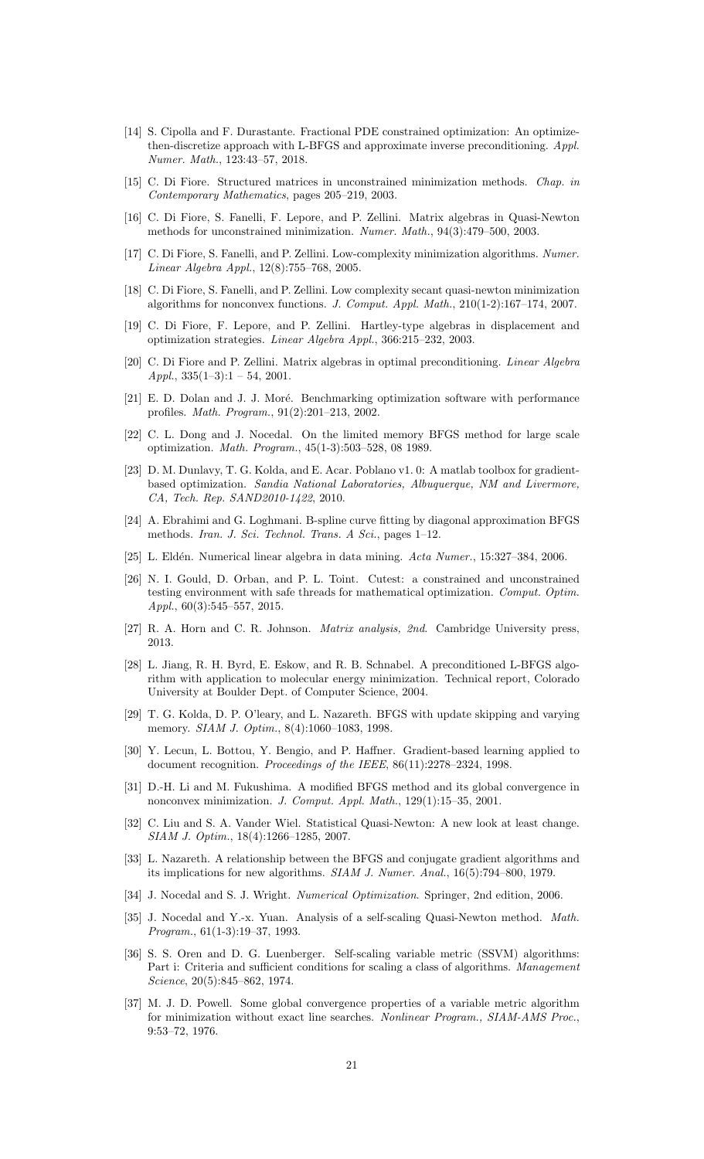- [14] S. Cipolla and F. Durastante. Fractional PDE constrained optimization: An optimizethen-discretize approach with L-BFGS and approximate inverse preconditioning. Appl. Numer. Math., 123:43–57, 2018.
- [15] C. Di Fiore. Structured matrices in unconstrained minimization methods. Chap. in Contemporary Mathematics, pages 205–219, 2003.
- [16] C. Di Fiore, S. Fanelli, F. Lepore, and P. Zellini. Matrix algebras in Quasi-Newton methods for unconstrained minimization. Numer. Math., 94(3):479–500, 2003.
- [17] C. Di Fiore, S. Fanelli, and P. Zellini. Low-complexity minimization algorithms. Numer. Linear Algebra Appl., 12(8):755–768, 2005.
- [18] C. Di Fiore, S. Fanelli, and P. Zellini. Low complexity secant quasi-newton minimization algorithms for nonconvex functions. J. Comput. Appl. Math., 210(1-2):167–174, 2007.
- [19] C. Di Fiore, F. Lepore, and P. Zellini. Hartley-type algebras in displacement and optimization strategies. Linear Algebra Appl., 366:215–232, 2003.
- [20] C. Di Fiore and P. Zellini. Matrix algebras in optimal preconditioning. Linear Algebra Appl.,  $335(1-3):1 - 54$ ,  $2001$ .
- [21] E. D. Dolan and J. J. Moré. Benchmarking optimization software with performance profiles. Math. Program., 91(2):201–213, 2002.
- [22] C. L. Dong and J. Nocedal. On the limited memory BFGS method for large scale optimization. Math. Program., 45(1-3):503–528, 08 1989.
- [23] D. M. Dunlavy, T. G. Kolda, and E. Acar. Poblano v1. 0: A matlab toolbox for gradientbased optimization. Sandia National Laboratories, Albuquerque, NM and Livermore, CA, Tech. Rep. SAND2010-1422, 2010.
- [24] A. Ebrahimi and G. Loghmani. B-spline curve fitting by diagonal approximation BFGS methods. Iran. J. Sci. Technol. Trans. A Sci., pages 1–12.
- [25] L. Eldén. Numerical linear algebra in data mining. Acta Numer.,  $15:327-384$ , 2006.
- [26] N. I. Gould, D. Orban, and P. L. Toint. Cutest: a constrained and unconstrained testing environment with safe threads for mathematical optimization. Comput. Optim. Appl., 60(3):545–557, 2015.
- [27] R. A. Horn and C. R. Johnson. Matrix analysis, 2nd. Cambridge University press, 2013.
- [28] L. Jiang, R. H. Byrd, E. Eskow, and R. B. Schnabel. A preconditioned L-BFGS algorithm with application to molecular energy minimization. Technical report, Colorado University at Boulder Dept. of Computer Science, 2004.
- [29] T. G. Kolda, D. P. O'leary, and L. Nazareth. BFGS with update skipping and varying memory. *SIAM J. Optim.*, 8(4):1060-1083, 1998.
- [30] Y. Lecun, L. Bottou, Y. Bengio, and P. Haffner. Gradient-based learning applied to document recognition. Proceedings of the IEEE, 86(11):2278-2324, 1998.
- [31] D.-H. Li and M. Fukushima. A modified BFGS method and its global convergence in nonconvex minimization. J. Comput. Appl. Math., 129(1):15–35, 2001.
- [32] C. Liu and S. A. Vander Wiel. Statistical Quasi-Newton: A new look at least change. SIAM J. Optim., 18(4):1266–1285, 2007.
- [33] L. Nazareth. A relationship between the BFGS and conjugate gradient algorithms and its implications for new algorithms. SIAM J. Numer. Anal., 16(5):794–800, 1979.
- [34] J. Nocedal and S. J. Wright. Numerical Optimization. Springer, 2nd edition, 2006.
- [35] J. Nocedal and Y.-x. Yuan. Analysis of a self-scaling Quasi-Newton method. Math. Program., 61(1-3):19–37, 1993.
- [36] S. S. Oren and D. G. Luenberger. Self-scaling variable metric (SSVM) algorithms: Part i: Criteria and sufficient conditions for scaling a class of algorithms. Management Science, 20(5):845–862, 1974.
- [37] M. J. D. Powell. Some global convergence properties of a variable metric algorithm for minimization without exact line searches. Nonlinear Program., SIAM-AMS Proc., 9:53–72, 1976.